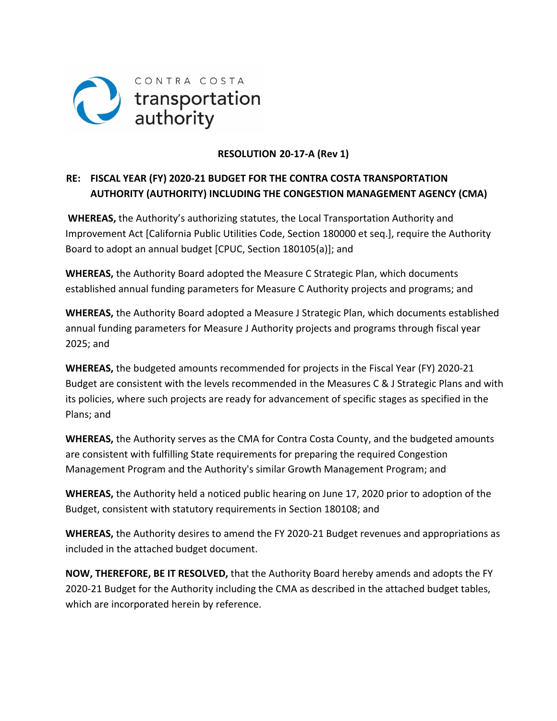

# **RESOLUTION 20‐17‐A (Rev 1)**

# **RE: FISCAL YEAR (FY) 2020‐21 BUDGET FOR THE CONTRA COSTA TRANSPORTATION AUTHORITY (AUTHORITY) INCLUDING THE CONGESTION MANAGEMENT AGENCY (CMA)**

**WHEREAS,** the Authority's authorizing statutes, the Local Transportation Authority and Improvement Act [California Public Utilities Code, Section 180000 et seq.], require the Authority Board to adopt an annual budget [CPUC, Section 180105(a)]; and

**WHEREAS,** the Authority Board adopted the Measure C Strategic Plan, which documents established annual funding parameters for Measure C Authority projects and programs; and

**WHEREAS,** the Authority Board adopted a Measure J Strategic Plan, which documents established annual funding parameters for Measure J Authority projects and programs through fiscal year 2025; and

**WHEREAS,** the budgeted amounts recommended for projects in the Fiscal Year (FY) 2020‐21 Budget are consistent with the levels recommended in the Measures C & J Strategic Plans and with its policies, where such projects are ready for advancement of specific stages as specified in the Plans; and

**WHEREAS,** the Authority serves as the CMA for Contra Costa County, and the budgeted amounts are consistent with fulfilling State requirements for preparing the required Congestion Management Program and the Authority's similar Growth Management Program; and

**WHEREAS,** the Authority held a noticed public hearing on June 17, 2020 prior to adoption of the Budget, consistent with statutory requirements in Section 180108; and

**WHEREAS,** the Authority desires to amend the FY 2020‐21 Budget revenues and appropriations as included in the attached budget document.

**NOW, THEREFORE, BE IT RESOLVED,** that the Authority Board hereby amends and adopts the FY 2020‐21 Budget for the Authority including the CMA as described in the attached budget tables, which are incorporated herein by reference.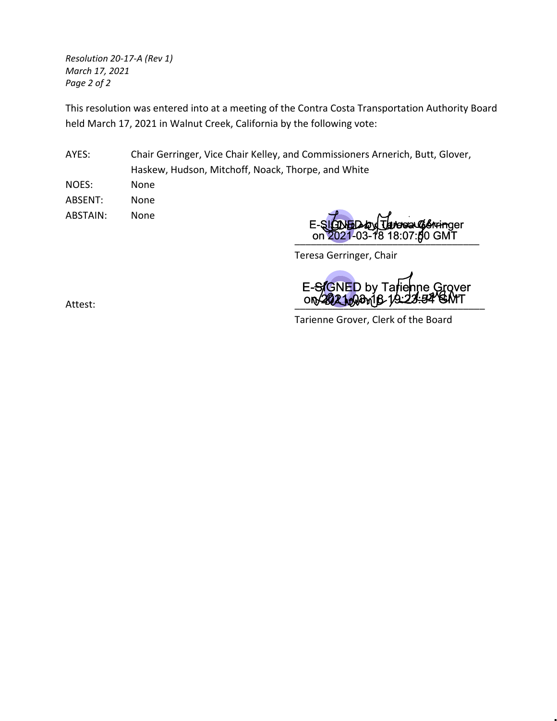*Resolution 20‐17‐A (Rev 1) March 17, 2021 Page 2 of 2*

This resolution was entered into at a meeting of the Contra Costa Transportation Authority Board held March 17, 2021 in Walnut Creek, California by the following vote:

AYES: Chair Gerringer, Vice Chair Kelley, and Commissioners Arnerich, Butt, Glover, Haskew, Hudson, Mitchoff, Noack, Thorpe, and White

NOES: None ABSENT: None ABSTAIN: None

\_\_\_\_\_\_\_\_\_\_\_\_\_\_\_\_\_\_\_\_\_\_\_\_\_\_\_\_\_\_\_\_\_\_ on 2021-03-18 18:07:50 GMT E-SIGNED by Taresa Gerringer

Teresa Gerringer, Chair

Attest: Allen Contract Contract Contract Contract Contract Contract Contract Contract Contract Contract Contract Contract Contract Contract Contract Contract Contract Contract Contract Contract Contract Contract Contract C E-SIGNED by Tarienne Grover<br>ON 2021008 19:223:54 GMT

Tarienne Grover, Clerk of the Board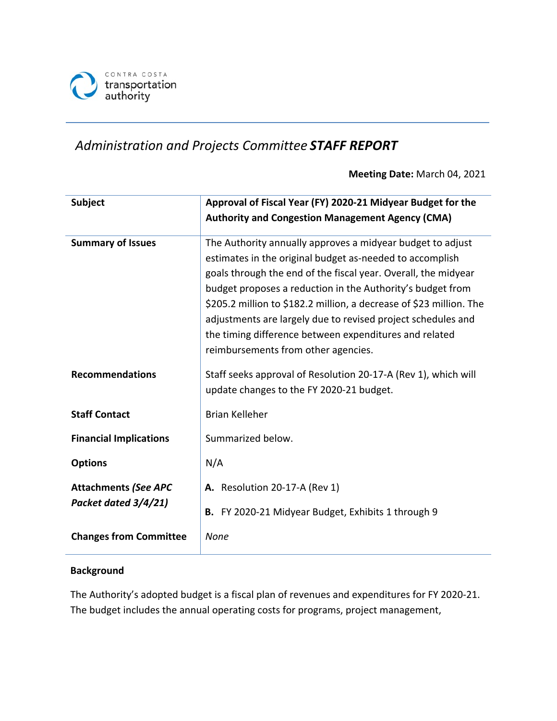

# *Administration and Projects Committee STAFF REPORT*

**Meeting Date:** March 04, 2021

| <b>Subject</b>                                      | Approval of Fiscal Year (FY) 2020-21 Midyear Budget for the<br><b>Authority and Congestion Management Agency (CMA)</b>                                                                                                                                                                                                                                                                                                                                                                         |
|-----------------------------------------------------|------------------------------------------------------------------------------------------------------------------------------------------------------------------------------------------------------------------------------------------------------------------------------------------------------------------------------------------------------------------------------------------------------------------------------------------------------------------------------------------------|
| <b>Summary of Issues</b>                            | The Authority annually approves a midyear budget to adjust<br>estimates in the original budget as-needed to accomplish<br>goals through the end of the fiscal year. Overall, the midyear<br>budget proposes a reduction in the Authority's budget from<br>\$205.2 million to \$182.2 million, a decrease of \$23 million. The<br>adjustments are largely due to revised project schedules and<br>the timing difference between expenditures and related<br>reimbursements from other agencies. |
| <b>Recommendations</b>                              | Staff seeks approval of Resolution 20-17-A (Rev 1), which will<br>update changes to the FY 2020-21 budget.                                                                                                                                                                                                                                                                                                                                                                                     |
| <b>Staff Contact</b>                                | <b>Brian Kelleher</b>                                                                                                                                                                                                                                                                                                                                                                                                                                                                          |
| <b>Financial Implications</b>                       | Summarized below.                                                                                                                                                                                                                                                                                                                                                                                                                                                                              |
| <b>Options</b>                                      | N/A                                                                                                                                                                                                                                                                                                                                                                                                                                                                                            |
| <b>Attachments (See APC</b><br>Packet dated 3/4/21) | A. Resolution 20-17-A (Rev 1)<br>B. FY 2020-21 Midyear Budget, Exhibits 1 through 9                                                                                                                                                                                                                                                                                                                                                                                                            |
| <b>Changes from Committee</b>                       | None                                                                                                                                                                                                                                                                                                                                                                                                                                                                                           |

# **Background**

The Authority's adopted budget is a fiscal plan of revenues and expenditures for FY 2020-21. The budget includes the annual operating costs for programs, project management,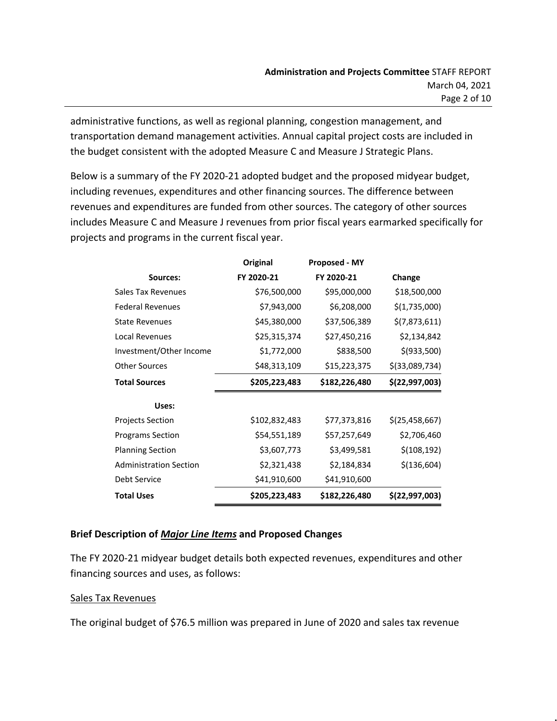administrative functions, as well as regional planning, congestion management, and transportation demand management activities. Annual capital project costs are included in the budget consistent with the adopted Measure C and Measure J Strategic Plans.

Below is a summary of the FY 2020-21 adopted budget and the proposed midyear budget, including revenues, expenditures and other financing sources. The difference between revenues and expenditures are funded from other sources. The category of other sources includes Measure C and Measure J revenues from prior fiscal years earmarked specifically for projects and programs in the current fiscal year.

|                               | Original      | <b>Proposed - MY</b> |                  |
|-------------------------------|---------------|----------------------|------------------|
| Sources:                      | FY 2020-21    | FY 2020-21           | Change           |
| Sales Tax Revenues            | \$76,500,000  | \$95,000,000         | \$18,500,000     |
| <b>Federal Revenues</b>       | \$7,943,000   | \$6,208,000          | \$(1,735,000)    |
| <b>State Revenues</b>         | \$45,380,000  | \$37,506,389         | \$(7,873,611)    |
| Local Revenues                | \$25,315,374  | \$27,450,216         | \$2,134,842      |
| Investment/Other Income       | \$1,772,000   | \$838,500            | \$(933,500)      |
| <b>Other Sources</b>          | \$48,313,109  | \$15,223,375         | \$(33,089,734)   |
| <b>Total Sources</b>          | \$205,223,483 | \$182,226,480        | \$(22,997,003)   |
| Uses:                         |               |                      |                  |
| <b>Projects Section</b>       | \$102,832,483 | \$77,373,816         | \$(25, 458, 667) |
| <b>Programs Section</b>       | \$54,551,189  | \$57,257,649         | \$2,706,460      |
| <b>Planning Section</b>       | \$3,607,773   | \$3,499,581          | \$(108, 192)     |
| <b>Administration Section</b> | \$2,321,438   | \$2,184,834          | \$(136,604)      |
| Debt Service                  | \$41,910,600  | \$41,910,600         |                  |
| <b>Total Uses</b>             | \$205,223,483 | \$182,226,480        | \$(22,997,003)   |

# **Brief Description of** *Major Line Items* **and Proposed Changes**

The FY 2020-21 midyear budget details both expected revenues, expenditures and other financing sources and uses, as follows:

## Sales Tax Revenues

The original budget of \$76.5 million was prepared in June of 2020 and sales tax revenue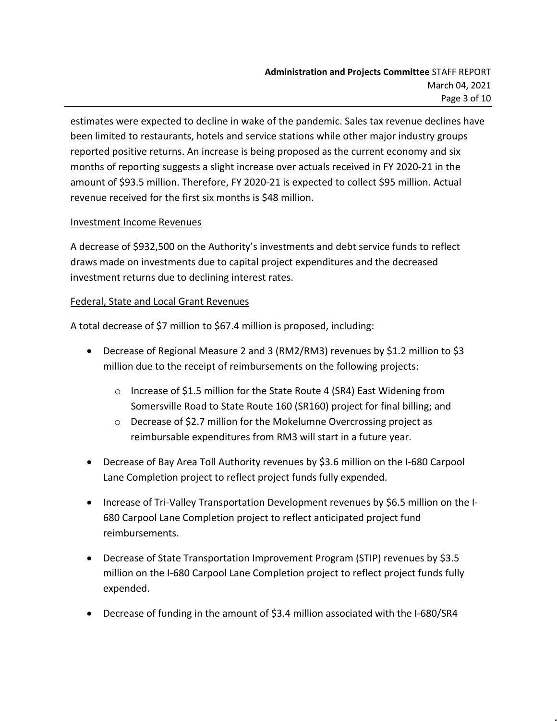estimates were expected to decline in wake of the pandemic. Sales tax revenue declines have been limited to restaurants, hotels and service stations while other major industry groups reported positive returns. An increase is being proposed as the current economy and six months of reporting suggests a slight increase over actuals received in FY 2020-21 in the amount of \$93.5 million. Therefore, FY 2020-21 is expected to collect \$95 million. Actual revenue received for the first six months is \$48 million.

## Investment Income Revenues

A decrease of \$932,500 on the Authority's investments and debt service funds to reflect draws made on investments due to capital project expenditures and the decreased investment returns due to declining interest rates.

## Federal, State and Local Grant Revenues

A total decrease of \$7 million to \$67.4 million is proposed, including:

- Decrease of Regional Measure 2 and 3 (RM2/RM3) revenues by \$1.2 million to \$3 million due to the receipt of reimbursements on the following projects:
	- o Increase of \$1.5 million for the State Route 4 (SR4) East Widening from Somersville Road to State Route 160 (SR160) project for final billing; and
	- o Decrease of \$2.7 million for the Mokelumne Overcrossing project as reimbursable expenditures from RM3 will start in a future year.
- Decrease of Bay Area Toll Authority revenues by \$3.6 million on the I-680 Carpool Lane Completion project to reflect project funds fully expended.
- Increase of Tri-Valley Transportation Development revenues by \$6.5 million on the I-680 Carpool Lane Completion project to reflect anticipated project fund reimbursements.
- Decrease of State Transportation Improvement Program (STIP) revenues by \$3.5 million on the I-680 Carpool Lane Completion project to reflect project funds fully expended.
- Decrease of funding in the amount of \$3.4 million associated with the I-680/SR4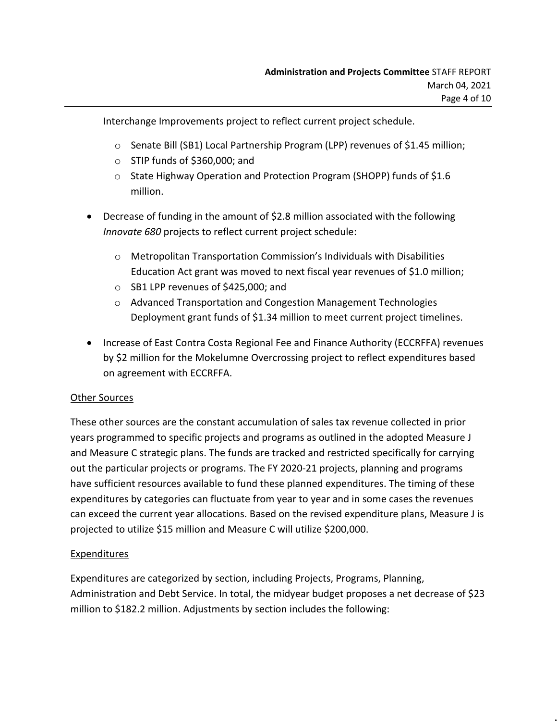Interchange Improvements project to reflect current project schedule.

- o Senate Bill (SB1) Local Partnership Program (LPP) revenues of \$1.45 million;
- $\circ$  STIP funds of \$360,000; and
- o State Highway Operation and Protection Program (SHOPP) funds of \$1.6 million.
- Decrease of funding in the amount of \$2.8 million associated with the following *Innovate 680* projects to reflect current project schedule:
	- o Metropolitan Transportation Commission's Individuals with Disabilities Education Act grant was moved to next fiscal year revenues of \$1.0 million;
	- o SB1 LPP revenues of \$425,000; and
	- o Advanced Transportation and Congestion Management Technologies Deployment grant funds of \$1.34 million to meet current project timelines.
- Increase of East Contra Costa Regional Fee and Finance Authority (ECCRFFA) revenues by \$2 million for the Mokelumne Overcrossing project to reflect expenditures based on agreement with ECCRFFA.

# Other Sources

These other sources are the constant accumulation of sales tax revenue collected in prior years programmed to specific projects and programs as outlined in the adopted Measure J and Measure C strategic plans. The funds are tracked and restricted specifically for carrying out the particular projects or programs. The FY 2020-21 projects, planning and programs have sufficient resources available to fund these planned expenditures. The timing of these expenditures by categories can fluctuate from year to year and in some cases the revenues can exceed the current year allocations. Based on the revised expenditure plans, Measure J is projected to utilize \$15 million and Measure C will utilize \$200,000.

# Expenditures

Expenditures are categorized by section, including Projects, Programs, Planning, Administration and Debt Service. In total, the midyear budget proposes a net decrease of \$23 million to \$182.2 million. Adjustments by section includes the following: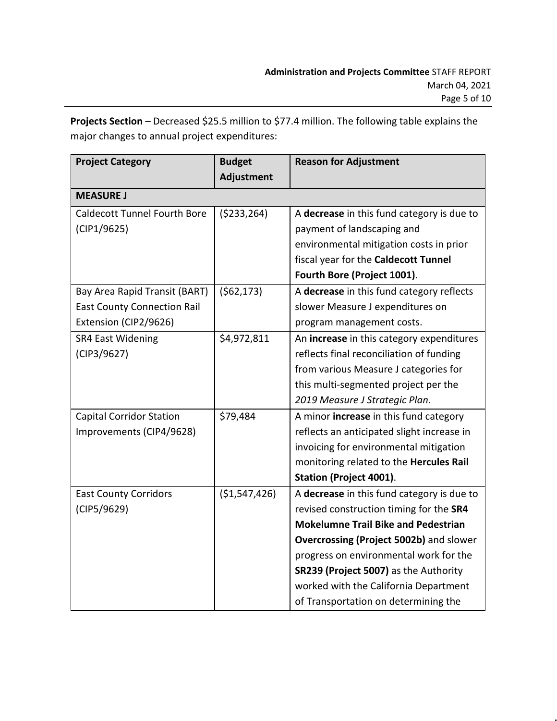**Projects Section** – Decreased \$25.5 million to \$77.4 million. The following table explains the major changes to annual project expenditures:

| <b>Project Category</b>             | <b>Budget</b><br>Adjustment | <b>Reason for Adjustment</b>                   |
|-------------------------------------|-----------------------------|------------------------------------------------|
| <b>MEASURE J</b>                    |                             |                                                |
| <b>Caldecott Tunnel Fourth Bore</b> | (5233, 264)                 | A decrease in this fund category is due to     |
| (CIP1/9625)                         |                             | payment of landscaping and                     |
|                                     |                             | environmental mitigation costs in prior        |
|                                     |                             | fiscal year for the Caldecott Tunnel           |
|                                     |                             | Fourth Bore (Project 1001).                    |
| Bay Area Rapid Transit (BART)       | (562, 173)                  | A decrease in this fund category reflects      |
| <b>East County Connection Rail</b>  |                             | slower Measure J expenditures on               |
| Extension (CIP2/9626)               |                             | program management costs.                      |
| <b>SR4 East Widening</b>            | \$4,972,811                 | An increase in this category expenditures      |
| (CIP3/9627)                         |                             | reflects final reconciliation of funding       |
|                                     |                             | from various Measure J categories for          |
|                                     |                             | this multi-segmented project per the           |
|                                     |                             | 2019 Measure J Strategic Plan.                 |
| <b>Capital Corridor Station</b>     | \$79,484                    | A minor increase in this fund category         |
| Improvements (CIP4/9628)            |                             | reflects an anticipated slight increase in     |
|                                     |                             | invoicing for environmental mitigation         |
|                                     |                             | monitoring related to the Hercules Rail        |
|                                     |                             | <b>Station (Project 4001).</b>                 |
| <b>East County Corridors</b>        | (\$1,547,426)               | A decrease in this fund category is due to     |
| (CIP5/9629)                         |                             | revised construction timing for the SR4        |
|                                     |                             | <b>Mokelumne Trail Bike and Pedestrian</b>     |
|                                     |                             | <b>Overcrossing (Project 5002b)</b> and slower |
|                                     |                             | progress on environmental work for the         |
|                                     |                             | SR239 (Project 5007) as the Authority          |
|                                     |                             | worked with the California Department          |
|                                     |                             | of Transportation on determining the           |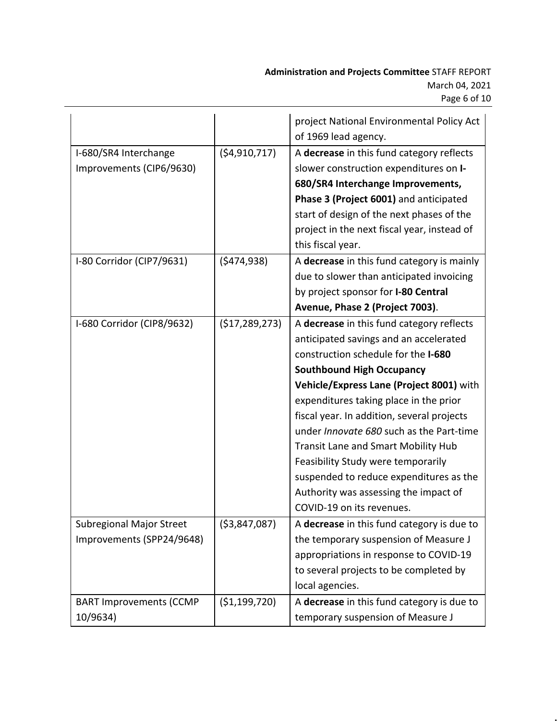|                                |                | project National Environmental Policy Act         |
|--------------------------------|----------------|---------------------------------------------------|
|                                |                | of 1969 lead agency.                              |
| I-680/SR4 Interchange          | (54, 910, 717) | A decrease in this fund category reflects         |
| Improvements (CIP6/9630)       |                | slower construction expenditures on I-            |
|                                |                | 680/SR4 Interchange Improvements,                 |
|                                |                | Phase 3 (Project 6001) and anticipated            |
|                                |                | start of design of the next phases of the         |
|                                |                | project in the next fiscal year, instead of       |
|                                |                | this fiscal year.                                 |
| I-80 Corridor (CIP7/9631)      | (5474, 938)    | A decrease in this fund category is mainly        |
|                                |                | due to slower than anticipated invoicing          |
|                                |                | by project sponsor for I-80 Central               |
|                                |                | Avenue, Phase 2 (Project 7003).                   |
| I-680 Corridor (CIP8/9632)     | (\$17,289,273) | A decrease in this fund category reflects         |
|                                |                | anticipated savings and an accelerated            |
|                                |                | construction schedule for the I-680               |
|                                |                | <b>Southbound High Occupancy</b>                  |
|                                |                | Vehicle/Express Lane (Project 8001) with          |
|                                |                | expenditures taking place in the prior            |
|                                |                | fiscal year. In addition, several projects        |
|                                |                | under Innovate 680 such as the Part-time          |
|                                |                | <b>Transit Lane and Smart Mobility Hub</b>        |
|                                |                | Feasibility Study were temporarily                |
|                                |                | suspended to reduce expenditures as the           |
|                                |                | Authority was assessing the impact of             |
|                                |                | COVID-19 on its revenues.                         |
| Subregional Major Street       | ( \$3,847,087) | A <b>decrease</b> in this fund category is due to |
| Improvements (SPP24/9648)      |                | the temporary suspension of Measure J             |
|                                |                | appropriations in response to COVID-19            |
|                                |                | to several projects to be completed by            |
|                                |                | local agencies.                                   |
| <b>BART Improvements (CCMP</b> | (\$1,199,720)  | A decrease in this fund category is due to        |
| 10/9634)                       |                | temporary suspension of Measure J                 |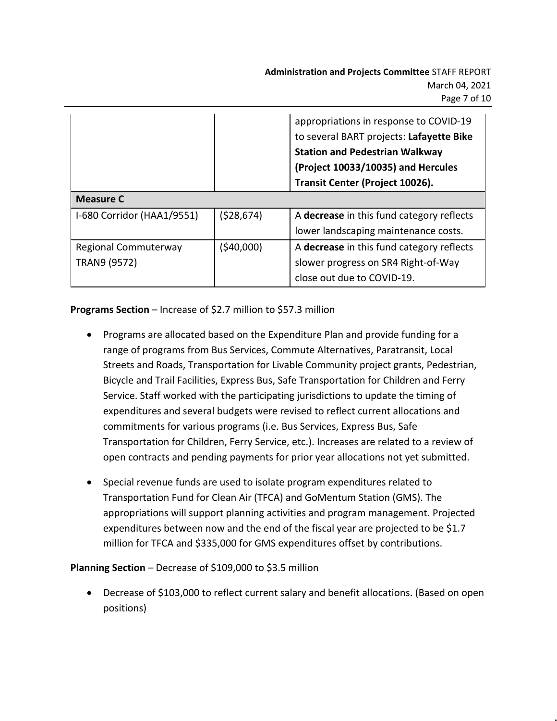|                            |            | appropriations in response to COVID-19<br>to several BART projects: Lafayette Bike<br><b>Station and Pedestrian Walkway</b><br>(Project 10033/10035) and Hercules<br>Transit Center (Project 10026). |
|----------------------------|------------|------------------------------------------------------------------------------------------------------------------------------------------------------------------------------------------------------|
| <b>Measure C</b>           |            |                                                                                                                                                                                                      |
| I-680 Corridor (HAA1/9551) | (528, 674) | A decrease in this fund category reflects                                                                                                                                                            |
|                            |            | lower landscaping maintenance costs.                                                                                                                                                                 |
| Regional Commuterway       | (\$40,000) | A decrease in this fund category reflects                                                                                                                                                            |
| TRAN9 (9572)               |            | slower progress on SR4 Right-of-Way                                                                                                                                                                  |
|                            |            | close out due to COVID-19.                                                                                                                                                                           |

**Programs Section** – Increase of \$2.7 million to \$57.3 million

- Programs are allocated based on the Expenditure Plan and provide funding for a range of programs from Bus Services, Commute Alternatives, Paratransit, Local Streets and Roads, Transportation for Livable Community project grants, Pedestrian, Bicycle and Trail Facilities, Express Bus, Safe Transportation for Children and Ferry Service. Staff worked with the participating jurisdictions to update the timing of expenditures and several budgets were revised to reflect current allocations and commitments for various programs (i.e. Bus Services, Express Bus, Safe Transportation for Children, Ferry Service, etc.). Increases are related to a review of open contracts and pending payments for prior year allocations not yet submitted.
- Special revenue funds are used to isolate program expenditures related to Transportation Fund for Clean Air (TFCA) and GoMentum Station (GMS). The appropriations will support planning activities and program management. Projected expenditures between now and the end of the fiscal year are projected to be \$1.7 million for TFCA and \$335,000 for GMS expenditures offset by contributions.

# **Planning Section** – Decrease of \$109,000 to \$3.5 million

 Decrease of \$103,000 to reflect current salary and benefit allocations. (Based on open positions)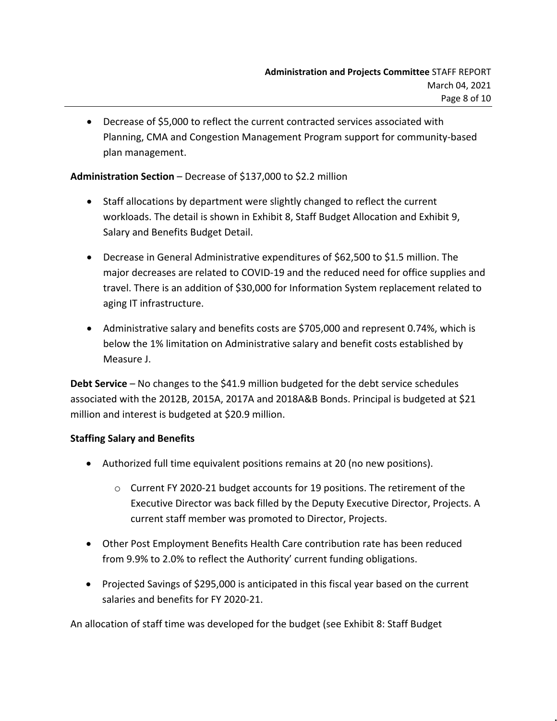Decrease of \$5,000 to reflect the current contracted services associated with Planning, CMA and Congestion Management Program support for community-based plan management.

## **Administration Section** – Decrease of \$137,000 to \$2.2 million

- Staff allocations by department were slightly changed to reflect the current workloads. The detail is shown in Exhibit 8, Staff Budget Allocation and Exhibit 9, Salary and Benefits Budget Detail.
- Decrease in General Administrative expenditures of \$62,500 to \$1.5 million. The major decreases are related to COVID-19 and the reduced need for office supplies and travel. There is an addition of \$30,000 for Information System replacement related to aging IT infrastructure.
- Administrative salary and benefits costs are \$705,000 and represent 0.74%, which is below the 1% limitation on Administrative salary and benefit costs established by Measure J.

**Debt Service** – No changes to the \$41.9 million budgeted for the debt service schedules associated with the 2012B, 2015A, 2017A and 2018A&B Bonds. Principal is budgeted at \$21 million and interest is budgeted at \$20.9 million.

# **Staffing Salary and Benefits**

- Authorized full time equivalent positions remains at 20 (no new positions).
	- o Current FY 2020-21 budget accounts for 19 positions. The retirement of the Executive Director was back filled by the Deputy Executive Director, Projects. A current staff member was promoted to Director, Projects.
- Other Post Employment Benefits Health Care contribution rate has been reduced from 9.9% to 2.0% to reflect the Authority' current funding obligations.
- Projected Savings of \$295,000 is anticipated in this fiscal year based on the current salaries and benefits for FY 2020-21.

An allocation of staff time was developed for the budget (see Exhibit 8: Staff Budget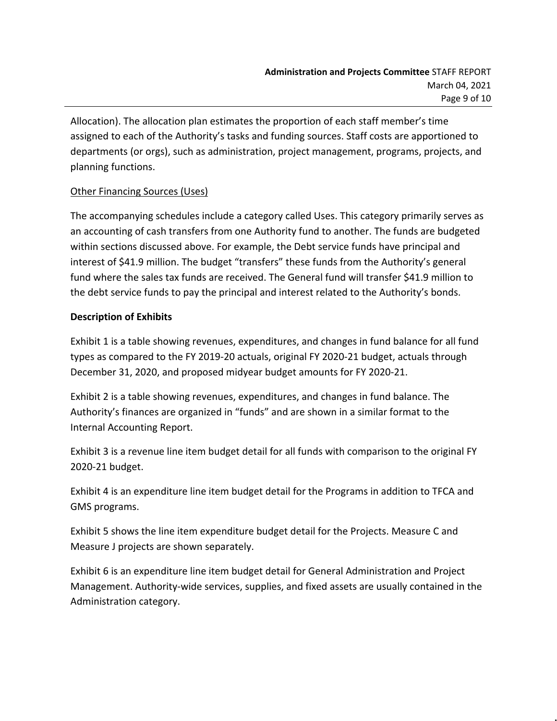Allocation). The allocation plan estimates the proportion of each staff member's time assigned to each of the Authority's tasks and funding sources. Staff costs are apportioned to departments (or orgs), such as administration, project management, programs, projects, and planning functions.

# Other Financing Sources (Uses)

The accompanying schedules include a category called Uses. This category primarily serves as an accounting of cash transfers from one Authority fund to another. The funds are budgeted within sections discussed above. For example, the Debt service funds have principal and interest of \$41.9 million. The budget "transfers" these funds from the Authority's general fund where the sales tax funds are received. The General fund will transfer \$41.9 million to the debt service funds to pay the principal and interest related to the Authority's bonds.

# **Description of Exhibits**

Exhibit 1 is a table showing revenues, expenditures, and changes in fund balance for all fund types as compared to the FY 2019-20 actuals, original FY 2020-21 budget, actuals through December 31, 2020, and proposed midyear budget amounts for FY 2020-21.

Exhibit 2 is a table showing revenues, expenditures, and changes in fund balance. The Authority's finances are organized in "funds" and are shown in a similar format to the Internal Accounting Report.

Exhibit 3 is a revenue line item budget detail for all funds with comparison to the original FY 2020-21 budget.

Exhibit 4 is an expenditure line item budget detail for the Programs in addition to TFCA and GMS programs.

Exhibit 5 shows the line item expenditure budget detail for the Projects. Measure C and Measure J projects are shown separately.

Exhibit 6 is an expenditure line item budget detail for General Administration and Project Management. Authority-wide services, supplies, and fixed assets are usually contained in the Administration category.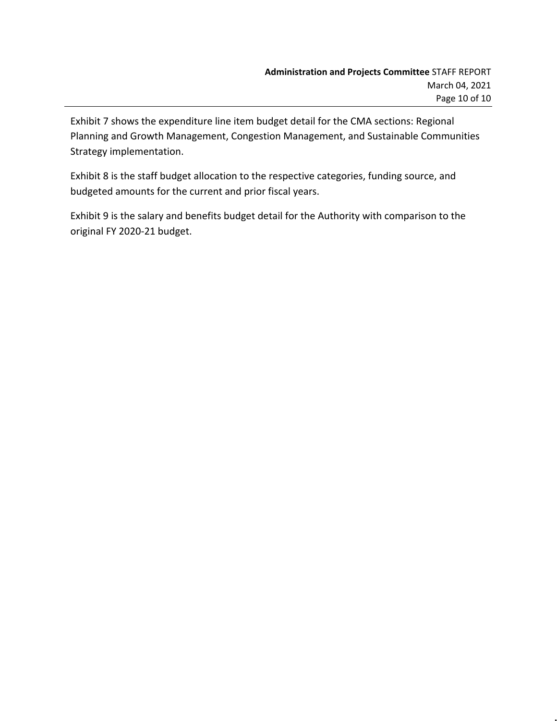Exhibit 7 shows the expenditure line item budget detail for the CMA sections: Regional Planning and Growth Management, Congestion Management, and Sustainable Communities Strategy implementation.

Exhibit 8 is the staff budget allocation to the respective categories, funding source, and budgeted amounts for the current and prior fiscal years.

Exhibit 9 is the salary and benefits budget detail for the Authority with comparison to the original FY 2020-21 budget.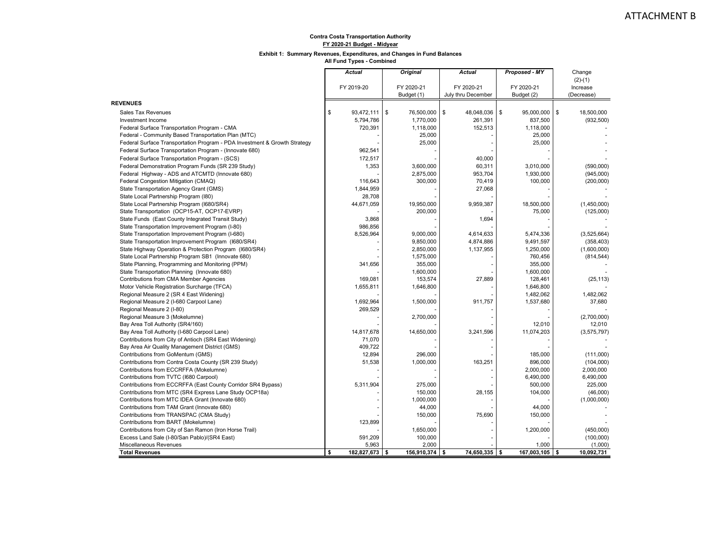#### **Exhibit 1: Summary Revenues, Expenditures, and Changes in Fund Balances**

|                                                                           | <b>Actual</b>        | <b>Original</b>  | <b>Actual</b>      | Proposed - MY    | Change           |
|---------------------------------------------------------------------------|----------------------|------------------|--------------------|------------------|------------------|
|                                                                           |                      |                  |                    |                  | $(2)-(1)$        |
|                                                                           | FY 2019-20           | FY 2020-21       | FY 2020-21         | FY 2020-21       | Increase         |
|                                                                           |                      | Budget (1)       | July thru December | Budget (2)       | (Decrease)       |
| <b>REVENUES</b>                                                           |                      |                  |                    |                  |                  |
| <b>Sales Tax Revenues</b>                                                 | \$<br>93,472,111     | \$<br>76,500,000 | \$<br>48,048,036   | \$<br>95,000,000 | \$<br>18,500,000 |
| Investment Income                                                         | 5,794,786            | 1,770,000        | 261,391            | 837,500          | (932, 500)       |
| Federal Surface Transportation Program - CMA                              | 720,391              | 1,118,000        | 152,513            | 1,118,000        |                  |
| Federal - Community Based Transportation Plan (MTC)                       |                      | 25,000           |                    | 25,000           |                  |
| Federal Surface Transportation Program - PDA Investment & Growth Strategy |                      | 25.000           |                    | 25,000           |                  |
| Federal Surface Transportation Program - (Innovate 680)                   | 962,541              |                  |                    |                  |                  |
| Federal Surface Transportation Program - (SCS)                            | 172,517              |                  | 40,000             |                  |                  |
| Federal Demonstration Program Funds (SR 239 Study)                        | 1,353                | 3,600,000        | 60,311             | 3,010,000        | (590,000)        |
| Federal Highway - ADS and ATCMTD (Innovate 680)                           |                      | 2,875,000        | 953,704            | 1,930,000        | (945,000)        |
| Federal Congestion Mitigation (CMAQ)                                      | 116,643              | 300,000          | 70,419             | 100,000          | (200,000)        |
| State Transportation Agency Grant (GMS)                                   | 1,844,959            |                  | 27,068             |                  |                  |
| State Local Partnership Program (180)                                     | 28,708               |                  |                    |                  |                  |
| State Local Partnership Program (I680/SR4)                                | 44,671,059           | 19,950,000       | 9,959,387          | 18,500,000       | (1,450,000)      |
| State Transportation (OCP15-AT, OCP17-EVRP)                               |                      | 200,000          |                    | 75,000           | (125,000)        |
| State Funds (East County Integrated Transit Study)                        | 3,868                |                  | 1,694              |                  |                  |
| State Transportation Improvement Program (I-80)                           | 986,856              |                  |                    |                  |                  |
| State Transportation Improvement Program (I-680)                          | 8,526,964            | 9,000,000        | 4,614,633          | 5,474,336        | (3,525,664)      |
| State Transportation Improvement Program (I680/SR4)                       |                      | 9,850,000        | 4,874,886          | 9,491,597        | (358, 403)       |
| State Highway Operation & Protection Program (I680/SR4)                   |                      | 2,850,000        | 1,137,955          | 1,250,000        | (1,600,000)      |
| State Local Partnership Program SB1 (Innovate 680)                        |                      | 1,575,000        |                    | 760,456          | (814, 544)       |
| State Planning, Programming and Monitoring (PPM)                          | 341,656              | 355,000          |                    | 355,000          |                  |
| State Transportation Planning (Innovate 680)                              |                      | 1,600,000        |                    | 1,600,000        |                  |
| <b>Contributions from CMA Member Agencies</b>                             | 169.081              | 153,574          | 27,889             | 128,461          | (25, 113)        |
| Motor Vehicle Registration Surcharge (TFCA)                               | 1,655,811            | 1,646,800        |                    | 1,646,800        |                  |
| Regional Measure 2 (SR 4 East Widening)                                   |                      |                  |                    | 1,482,062        | 1,482,062        |
| Regional Measure 2 (I-680 Carpool Lane)                                   | 1,692,964            | 1,500,000        | 911,757            | 1,537,680        | 37,680           |
| Regional Measure 2 (I-80)                                                 | 269,529              |                  |                    |                  |                  |
| Regional Measure 3 (Mokelumne)                                            |                      | 2,700,000        |                    |                  | (2,700,000)      |
| Bay Area Toll Authority (SR4/160)                                         |                      |                  |                    | 12,010           | 12,010           |
| Bay Area Toll Authority (I-680 Carpool Lane)                              | 14,817,678           | 14,650,000       | 3,241,596          | 11,074,203       | (3,575,797)      |
| Contributions from City of Antioch (SR4 East Widening)                    | 71,070               |                  |                    |                  |                  |
| Bay Area Air Quality Management District (GMS)                            | 409,722              |                  |                    |                  |                  |
| Contributions from GoMentum (GMS)                                         | 12,894               | 296,000          |                    | 185,000          | (111,000)        |
| Contributions from Contra Costa County (SR 239 Study)                     | 51,538               | 1,000,000        | 163,251            | 896,000          | (104,000)        |
| Contributions from ECCRFFA (Mokelumne)                                    |                      |                  |                    | 2,000,000        | 2,000,000        |
| Contributions from TVTC (I680 Carpool)                                    |                      |                  |                    | 6,490,000        | 6,490,000        |
| Contributions from ECCRFFA (East County Corridor SR4 Bypass)              | 5,311,904            | 275,000          |                    | 500,000          | 225,000          |
| Contributions from MTC (SR4 Express Lane Study OCP18a)                    |                      | 150,000          | 28,155             | 104,000          | (46,000)         |
| Contributions from MTC IDEA Grant (Innovate 680)                          |                      | 1,000,000        |                    |                  | (1,000,000)      |
| Contributions from TAM Grant (Innovate 680)                               |                      | 44,000           |                    | 44,000           |                  |
| Contributions from TRANSPAC (CMA Study)                                   |                      | 150,000          | 75,690             | 150,000          |                  |
| Contributions from BART (Mokelumne)                                       | 123,899              |                  |                    |                  |                  |
| Contributions from City of San Ramon (Iron Horse Trail)                   |                      | 1,650,000        |                    | 1,200,000        | (450,000)        |
| Excess Land Sale (I-80/San Pablo)/(SR4 East)                              | 591,209              | 100,000          |                    |                  | (100,000)        |
| Miscellaneous Revenues                                                    | 5,963                | 2,000            |                    | 1,000            | (1,000)          |
| <b>Total Revenues</b>                                                     | \$<br>182,827,673 \$ | 156,910,374 \$   | 74,650,335 \$      | 167,003,105 \$   | 10,092,731       |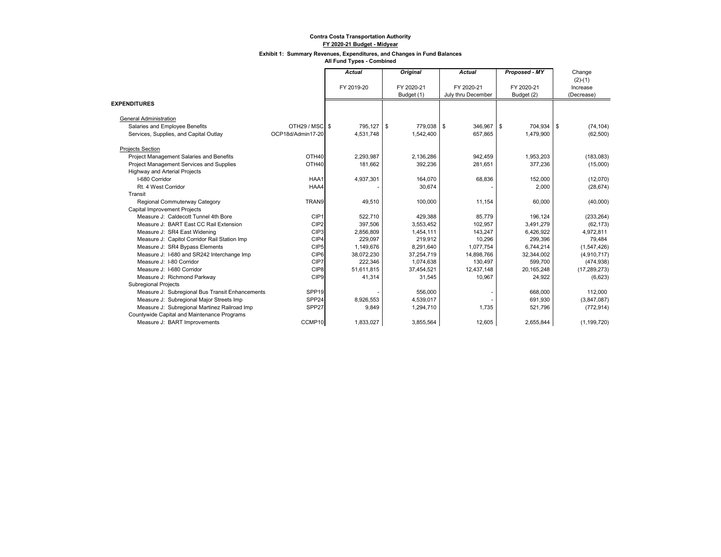#### **Exhibit 1: Summary Revenues, Expenditures, and Changes in Fund Balances**

|                                                 |                   | <b>Actual</b> | Original   | <b>Actual</b>      | Proposed - MY | Change         |
|-------------------------------------------------|-------------------|---------------|------------|--------------------|---------------|----------------|
|                                                 |                   |               |            |                    |               | $(2)-(1)$      |
|                                                 |                   | FY 2019-20    | FY 2020-21 | FY 2020-21         | FY 2020-21    | Increase       |
|                                                 |                   |               | Budget (1) | July thru December | Budget (2)    | (Decrease)     |
| <b>EXPENDITURES</b>                             |                   |               |            |                    |               |                |
| <b>General Administration</b>                   |                   |               |            |                    |               |                |
| Salaries and Employee Benefits                  | OTH29 / MSC S     | 795,127 \$    | 779,038 \$ | 346,967 \$         | 704,934 \$    | (74, 104)      |
| Services, Supplies, and Capital Outlay          | OCP18d/Admin17-20 | 4,531,748     | 1,542,400  | 657,865            | 1,479,900     | (62, 500)      |
| <b>Projects Section</b>                         |                   |               |            |                    |               |                |
| Project Management Salaries and Benefits        | OTH <sub>40</sub> | 2,293,987     | 2,136,286  | 942,459            | 1,953,203     | (183, 083)     |
| Project Management Services and Supplies        | OTH40             | 181,662       | 392,236    | 281,651            | 377,236       | (15,000)       |
| <b>Highway and Arterial Projects</b>            |                   |               |            |                    |               |                |
| I-680 Corridor                                  | HAA1              | 4,937,301     | 164,070    | 68,836             | 152,000       | (12,070)       |
| Rt. 4 West Corridor                             | HAA4              |               | 30,674     |                    | 2,000         | (28, 674)      |
| Transit                                         |                   |               |            |                    |               |                |
| Regional Commuterway Category                   | TRAN9             | 49,510        | 100.000    | 11,154             | 60,000        | (40,000)       |
| <b>Capital Improvement Projects</b>             |                   |               |            |                    |               |                |
| Measure J: Caldecott Tunnel 4th Bore            | CIP1              | 522,710       | 429,388    | 85,779             | 196,124       | (233, 264)     |
| Measure J: BART East CC Rail Extension          | CIP <sub>2</sub>  | 397,506       | 3,553,452  | 102,957            | 3,491,279     | (62, 173)      |
| Measure J: SR4 East Widening                    | CIP3              | 2,856,809     | 1,454,111  | 143.247            | 6.426.922     | 4,972,811      |
| Measure J: Capitol Corridor Rail Station Imp    | CIP4              | 229,097       | 219,912    | 10,296             | 299,396       | 79,484         |
| Measure J: SR4 Bypass Elements                  | CIP5              | 1,149,676     | 8,291,640  | 1,077,754          | 6,744,214     | (1,547,426)    |
| Measure J: I-680 and SR242 Interchange Imp      | CIP <sub>6</sub>  | 38,072,230    | 37,254,719 | 14,898,766         | 32,344,002    | (4,910,717)    |
| Measure J: I-80 Corridor                        | CIP7              | 222,346       | 1,074,638  | 130,497            | 599.700       | (474, 938)     |
| Measure J: I-680 Corridor                       | CIP8              | 51,611,815    | 37,454,521 | 12,437,148         | 20,165,248    | (17, 289, 273) |
| Measure J: Richmond Parkway                     | CIP <sub>9</sub>  | 41,314        | 31,545     | 10,967             | 24,922        | (6,623)        |
| <b>Subregional Projects</b>                     |                   |               |            |                    |               |                |
| Measure J: Subregional Bus Transit Enhancements | SPP <sub>19</sub> |               | 556,000    |                    | 668,000       | 112,000        |
| Measure J: Subregional Major Streets Imp        | SPP <sub>24</sub> | 8,926,553     | 4,539,017  |                    | 691,930       | (3,847,087)    |
| Measure J: Subregional Martinez Railroad Imp    | SPP <sub>27</sub> | 9.849         | 1,294,710  | 1,735              | 521,796       | (772, 914)     |
| Countywide Capital and Maintenance Programs     |                   |               |            |                    |               |                |
| Measure J: BART Improvements                    | CCMP10            | 1,833,027     | 3,855,564  | 12,605             | 2,655,844     | (1, 199, 720)  |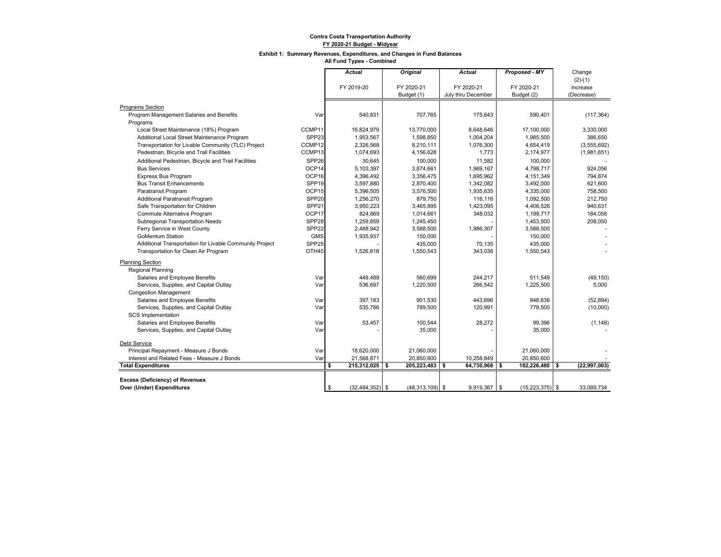#### **Exhibit 1: Summary Revenues, Expenditures, and Changes in Fund Balances**

|                                                         |                   | <b>Actual</b>             | <b>Original</b>   | <b>Actual</b>        | Proposed - MY     | Change         |
|---------------------------------------------------------|-------------------|---------------------------|-------------------|----------------------|-------------------|----------------|
|                                                         |                   |                           |                   |                      |                   | $(2)-(1)$      |
|                                                         |                   | FY 2019-20                | FY 2020-21        | FY 2020-21           | FY 2020-21        | Increase       |
|                                                         |                   |                           | Budget (1)        | July thru December   | Budget (2)        | (Decrease)     |
| <b>Programs Section</b>                                 |                   |                           |                   |                      |                   |                |
| Program Management Salaries and Benefits                | Var               | 540,831                   | 707,765           | 175,643              | 590,401           | (117, 364)     |
| Programs                                                |                   |                           |                   |                      |                   |                |
| Local Street Maintenance (18%) Program                  | CCMP11            | 16,824,979                | 13,770,000        | 8,648,646            | 17,100,000        | 3,330,000      |
| Additional Local Street Maintenance Program             | SPP <sub>23</sub> | 1,953,567                 | 1,598,850         | 1,004,204            | 1,985,500         | 386,650        |
| Transportation for Livable Community (TLC) Project      | CCMP12            | 2,326,568                 | 8,210,111         | 1,076,300            | 4,654,419         | (3,555,692)    |
| Pedestrian, Bicycle and Trail Facilities                | CCMP13            | 1,074,693                 | 4,156,628         | 1.773                | 2,174,977         | (1,981,651)    |
| Additional Pedestrian, Bicycle and Trail Facilities     | SPP <sub>26</sub> | 30,645                    | 100,000           | 11,582               | 100,000           |                |
| <b>Bus Services</b>                                     | OCP <sub>14</sub> | 5,103,397                 | 3,874,661         | 1,969,167            | 4,798,717         | 924,056        |
| <b>Express Bus Program</b>                              | OCP16             | 4,396,492                 | 3,356,475         | 1,695,962            | 4,151,349         | 794,874        |
| <b>Bus Transit Enhancements</b>                         | SPP <sub>19</sub> | 3,597,880                 | 2,870,400         | 1,342,082            | 3,492,000         | 621,600        |
| Paratransit Program                                     | OCP15             | 5,396,505                 | 3,576,500         | 1,935,635            | 4,335,000         | 758,500        |
| <b>Additional Paratransit Program</b>                   | SPP <sub>20</sub> | 1,256,270                 | 879,750           | 116,116              | 1,092,500         | 212,750        |
| Safe Transportation for Children                        | SPP <sub>21</sub> | 3,950,223                 | 3,465,895         | 1,423,095            | 4,406,526         | 940,631        |
| Commute Alternative Program                             | OCP17             | 824,869                   | 1,014,661         | 348,032              | 1,198,717         | 184,056        |
| Subregional Transportation Needs                        | SPP <sub>28</sub> | 1,259,859                 | 1,245,450         |                      | 1,453,500         | 208,050        |
| Ferry Service in West County                            | SPP <sub>22</sub> | 2,488,942                 | 3,588,500         | 1,986,307            | 3,588,500         |                |
| <b>GoMentum Station</b>                                 | <b>GMS</b>        | 1,935,937                 | 150,000           |                      | 150,000           |                |
| Additional Transportation for Livable Community Project | SPP <sub>25</sub> |                           | 435,000           | 70,135               | 435.000           |                |
| Transportation for Clean Air Program                    | OTH45             | 1,526,618                 | 1,550,543         | 343,038              | 1,550,543         |                |
| <b>Planning Section</b>                                 |                   |                           |                   |                      |                   |                |
| <b>Regional Planning</b>                                |                   |                           |                   |                      |                   |                |
| Salaries and Employee Benefits                          | Var               | 449,489                   | 560,699           | 244,217              | 511,549           | (49, 150)      |
| Services, Supplies, and Capital Outlay                  | Var               | 536,697                   | 1,220,500         | 266,542              | 1,225,500         | 5,000          |
| <b>Congestion Management</b>                            |                   |                           |                   |                      |                   |                |
| Salaries and Employee Benefits                          | Var               | 397,183                   | 901,530           | 443,696              | 848,636           | (52, 894)      |
| Services, Supplies, and Capital Outlay                  | Var               | 535,786                   | 789,500           | 120,991              | 779,500           | (10,000)       |
| <b>SCS</b> Implementation                               |                   |                           |                   |                      |                   |                |
| Salaries and Employee Benefits                          | Var               | 53,457                    | 100,544           | 28,272               | 99,396            | (1, 148)       |
| Services, Supplies, and Capital Outlay                  | Var               |                           | 35,000            |                      | 35,000            |                |
| <b>Debt Service</b>                                     |                   |                           |                   |                      |                   |                |
| Principal Repayment - Measure J Bonds                   | Var               | 18,620,000                | 21,060,000        |                      | 21,060,000        |                |
| Interest and Related Fees - Measure J Bonds             | Var               | 21,568,871                | 20,850,600        | 10,258,849           | 20,850,600        |                |
| <b>Total Expenditures</b>                               |                   | s<br>215,312,025 \$       | 205,223,483       | l S<br>64,730,968 \$ | 182,226,480 \$    | (22, 997, 003) |
|                                                         |                   |                           |                   |                      |                   |                |
| <b>Excess (Deficiency) of Revenues</b>                  |                   |                           |                   |                      |                   |                |
| Over (Under) Expenditures                               |                   | \$<br>$(32, 484, 352)$ \$ | $(48,313,109)$ \$ | $9,919,367$ \$       | $(15,223,375)$ \$ | 33.089.734     |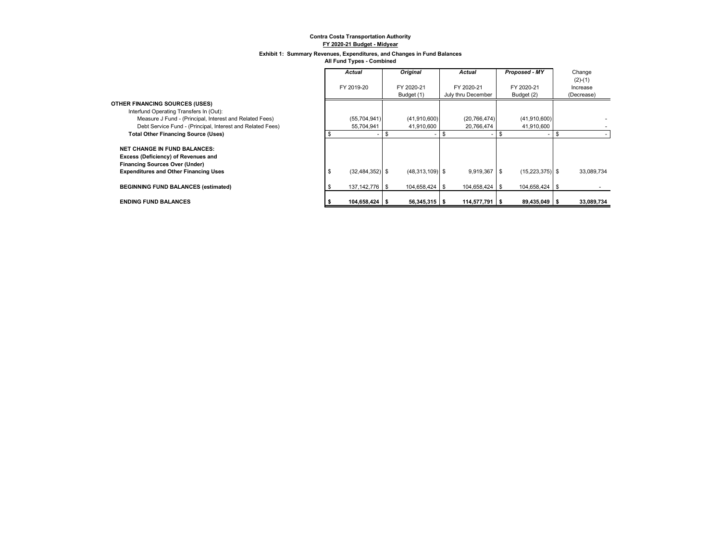#### **Exhibit 1: Summary Revenues, Expenditures, and Changes in Fund Balances**

|                                                            | <b>Actual</b>       | <b>Original</b>   | Actual             | Proposed - MY       | Change     |
|------------------------------------------------------------|---------------------|-------------------|--------------------|---------------------|------------|
|                                                            |                     |                   |                    |                     | $(2)-(1)$  |
|                                                            | FY 2019-20          | FY 2020-21        | FY 2020-21         | FY 2020-21          | Increase   |
|                                                            |                     | Budget (1)        | July thru December | Budget (2)          | (Decrease) |
| <b>OTHER FINANCING SOURCES (USES)</b>                      |                     |                   |                    |                     |            |
| Interfund Operating Transfers In (Out):                    |                     |                   |                    |                     |            |
| Measure J Fund - (Principal, Interest and Related Fees)    | (55, 704, 941)      | (41,910,600)      | (20, 766, 474)     | (41,910,600)        |            |
| Debt Service Fund - (Principal, Interest and Related Fees) | 55,704,941          | 41,910,600        | 20,766,474         | 41,910,600          |            |
| <b>Total Other Financing Source (Uses)</b>                 |                     |                   |                    |                     |            |
|                                                            |                     |                   |                    |                     |            |
| <b>NET CHANGE IN FUND BALANCES:</b>                        |                     |                   |                    |                     |            |
| Excess (Deficiency) of Revenues and                        |                     |                   |                    |                     |            |
| <b>Financing Sources Over (Under)</b>                      |                     |                   |                    |                     |            |
| <b>Expenditures and Other Financing Uses</b>               | $(32, 484, 352)$ \$ | $(48,313,109)$ \$ | $9,919,367$ \$     | $(15, 223, 375)$ \$ | 33,089,734 |
|                                                            |                     |                   |                    |                     |            |
| <b>BEGINNING FUND BALANCES (estimated)</b>                 | 137, 142, 776 \$    | 104.658.424 \$    | 104,658,424 \$     | 104,658,424 \$      |            |
|                                                            |                     |                   |                    |                     |            |
| <b>ENDING FUND BALANCES</b>                                | 104,658,424 \$      | $56,345,315$ \$   | 114,577,791 \$     | 89,435,049 \$       | 33,089,734 |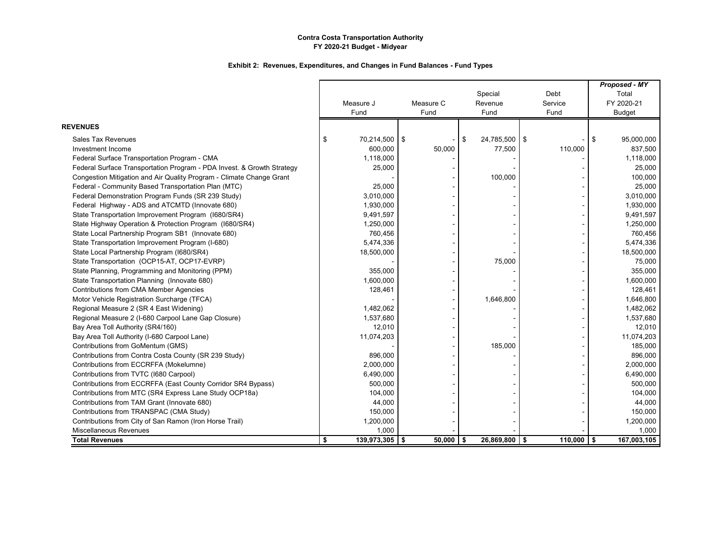|                                                                        |                        |             |                  |                      | Proposed - MY |             |
|------------------------------------------------------------------------|------------------------|-------------|------------------|----------------------|---------------|-------------|
|                                                                        |                        |             | Special          | Debt                 | Total         |             |
|                                                                        | Measure J              | Measure C   | Revenue          | Service              | FY 2020-21    |             |
|                                                                        | Fund                   | Fund        | Fund             | Fund                 | <b>Budget</b> |             |
| <b>REVENUES</b>                                                        |                        |             |                  |                      |               |             |
| <b>Sales Tax Revenues</b>                                              | \$<br>70,214,500 \$    |             | \$<br>24,785,500 | <b>S</b>             | \$            | 95,000,000  |
| Investment Income                                                      | 600,000                | 50,000      | 77,500           | 110,000              |               | 837,500     |
| Federal Surface Transportation Program - CMA                           | 1,118,000              |             |                  |                      |               | 1,118,000   |
| Federal Surface Transportation Program - PDA Invest. & Growth Strategy | 25,000                 |             |                  |                      |               | 25,000      |
| Congestion Mitigation and Air Quality Program - Climate Change Grant   |                        |             | 100,000          |                      |               | 100,000     |
| Federal - Community Based Transportation Plan (MTC)                    | 25,000                 |             |                  |                      |               | 25,000      |
| Federal Demonstration Program Funds (SR 239 Study)                     | 3,010,000              |             |                  |                      |               | 3,010,000   |
| Federal Highway - ADS and ATCMTD (Innovate 680)                        | 1,930,000              |             |                  |                      |               | 1,930,000   |
| State Transportation Improvement Program (I680/SR4)                    | 9,491,597              |             |                  |                      |               | 9,491,597   |
| State Highway Operation & Protection Program (1680/SR4)                | 1,250,000              |             |                  |                      |               | 1,250,000   |
| State Local Partnership Program SB1 (Innovate 680)                     | 760,456                |             |                  |                      |               | 760,456     |
| State Transportation Improvement Program (I-680)                       | 5,474,336              |             |                  |                      |               | 5,474,336   |
| State Local Partnership Program (1680/SR4)                             | 18,500,000             |             |                  |                      |               | 18,500,000  |
| State Transportation (OCP15-AT, OCP17-EVRP)                            |                        |             | 75,000           |                      |               | 75,000      |
| State Planning, Programming and Monitoring (PPM)                       | 355,000                |             |                  |                      |               | 355,000     |
| State Transportation Planning (Innovate 680)                           | 1,600,000              |             |                  |                      |               | 1,600,000   |
| <b>Contributions from CMA Member Agencies</b>                          | 128,461                |             |                  |                      |               | 128,461     |
| Motor Vehicle Registration Surcharge (TFCA)                            |                        |             | 1,646,800        |                      |               | 1,646,800   |
| Regional Measure 2 (SR 4 East Widening)                                | 1,482,062              |             |                  |                      |               | 1,482,062   |
| Regional Measure 2 (I-680 Carpool Lane Gap Closure)                    | 1,537,680              |             |                  |                      |               | 1,537,680   |
| Bay Area Toll Authority (SR4/160)                                      | 12,010                 |             |                  |                      |               | 12,010      |
| Bay Area Toll Authority (I-680 Carpool Lane)                           | 11,074,203             |             |                  |                      |               | 11,074,203  |
| Contributions from GoMentum (GMS)                                      |                        |             | 185,000          |                      |               | 185,000     |
| Contributions from Contra Costa County (SR 239 Study)                  | 896,000                |             |                  |                      |               | 896,000     |
| Contributions from ECCRFFA (Mokelumne)                                 | 2,000,000              |             |                  |                      |               | 2,000,000   |
| Contributions from TVTC (1680 Carpool)                                 | 6,490,000              |             |                  |                      |               | 6,490,000   |
| Contributions from ECCRFFA (East County Corridor SR4 Bypass)           | 500,000                |             |                  |                      |               | 500,000     |
| Contributions from MTC (SR4 Express Lane Study OCP18a)                 | 104,000                |             |                  |                      |               | 104,000     |
| Contributions from TAM Grant (Innovate 680)                            | 44,000                 |             |                  |                      |               | 44,000      |
| Contributions from TRANSPAC (CMA Study)                                | 150,000                |             |                  |                      |               | 150,000     |
| Contributions from City of San Ramon (Iron Horse Trail)                | 1,200,000              |             |                  |                      |               | 1,200,000   |
| Miscellaneous Revenues                                                 | 1,000                  |             |                  |                      |               | 1,000       |
| <b>Total Revenues</b>                                                  | \$<br>$139,973,305$ \$ | $50,000$ \$ | 26,869,800       | $110,000$ \$<br>l \$ |               | 167,003,105 |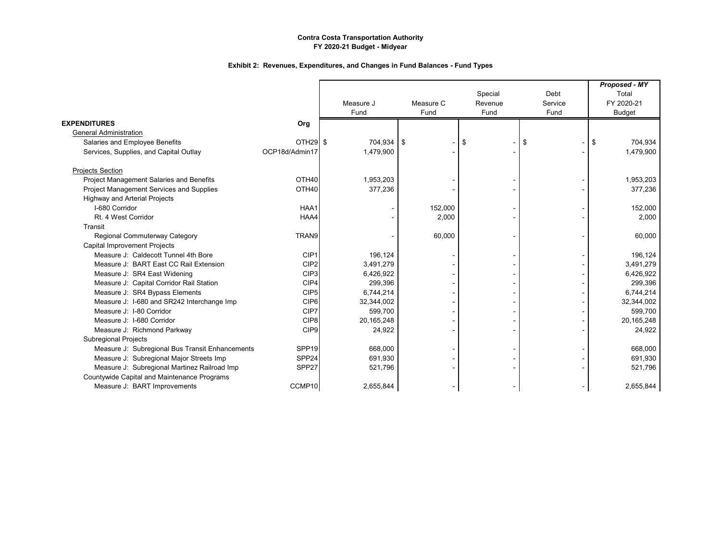|                                                 |                      | Measure J<br>Fund | Measure C<br>Fund | Special<br>Revenue<br>Fund | Debt<br>Service<br>Fund | Proposed - MY<br>Total<br>FY 2020-21<br><b>Budget</b> |
|-------------------------------------------------|----------------------|-------------------|-------------------|----------------------------|-------------------------|-------------------------------------------------------|
| <b>EXPENDITURES</b>                             |                      |                   |                   |                            |                         |                                                       |
| <b>General Administration</b>                   | Org                  |                   |                   |                            |                         |                                                       |
| Salaries and Employee Benefits                  | OTH <sub>29</sub> \$ | 704,934 \$        |                   | \$                         | \$                      | \$<br>704,934                                         |
| Services, Supplies, and Capital Outlay          | OCP18d/Admin17       | 1,479,900         |                   |                            |                         | 1,479,900                                             |
|                                                 |                      |                   |                   |                            |                         |                                                       |
| <b>Projects Section</b>                         |                      |                   |                   |                            |                         |                                                       |
| Project Management Salaries and Benefits        | OTH <sub>40</sub>    | 1,953,203         |                   |                            |                         | 1,953,203                                             |
| Project Management Services and Supplies        | OTH40                | 377,236           |                   |                            |                         | 377,236                                               |
| <b>Highway and Arterial Projects</b>            |                      |                   |                   |                            |                         |                                                       |
| I-680 Corridor                                  | HAA1                 |                   | 152,000           |                            |                         | 152,000                                               |
| Rt. 4 West Corridor                             | HAA4                 |                   | 2,000             |                            |                         | 2,000                                                 |
| Transit                                         |                      |                   |                   |                            |                         |                                                       |
| Regional Commuterway Category                   | TRAN9                |                   | 60,000            |                            |                         | 60,000                                                |
| <b>Capital Improvement Projects</b>             |                      |                   |                   |                            |                         |                                                       |
| Measure J: Caldecott Tunnel 4th Bore            | CIP1                 | 196,124           |                   |                            |                         | 196,124                                               |
| Measure J: BART East CC Rail Extension          | CIP <sub>2</sub>     | 3,491,279         |                   |                            |                         | 3,491,279                                             |
| Measure J: SR4 East Widening                    | CIP <sub>3</sub>     | 6,426,922         |                   |                            |                         | 6,426,922                                             |
| Measure J: Capital Corridor Rail Station        | CIP4                 | 299,396           |                   |                            |                         | 299,396                                               |
| Measure J: SR4 Bypass Elements                  | CIP <sub>5</sub>     | 6,744,214         |                   |                            |                         | 6,744,214                                             |
| Measure J: 1-680 and SR242 Interchange Imp      | CIP <sub>6</sub>     | 32,344,002        |                   |                            |                         | 32,344,002                                            |
| Measure J: I-80 Corridor                        | CIP7                 | 599,700           |                   |                            |                         | 599,700                                               |
| Measure J: 1-680 Corridor                       | CIP8                 | 20,165,248        |                   |                            |                         | 20,165,248                                            |
| Measure J: Richmond Parkway                     | CIP <sub>9</sub>     | 24,922            |                   |                            |                         | 24,922                                                |
| <b>Subregional Projects</b>                     |                      |                   |                   |                            |                         |                                                       |
| Measure J: Subregional Bus Transit Enhancements | SPP <sub>19</sub>    | 668,000           |                   |                            |                         | 668,000                                               |
| Measure J: Subregional Major Streets Imp        | SPP24                | 691,930           |                   |                            |                         | 691,930                                               |
| Measure J: Subregional Martinez Railroad Imp    | SPP27                | 521,796           |                   |                            |                         | 521,796                                               |
| Countywide Capital and Maintenance Programs     |                      |                   |                   |                            |                         |                                                       |
| Measure J: BART Improvements                    | CCMP10               | 2,655,844         |                   |                            |                         | 2,655,844                                             |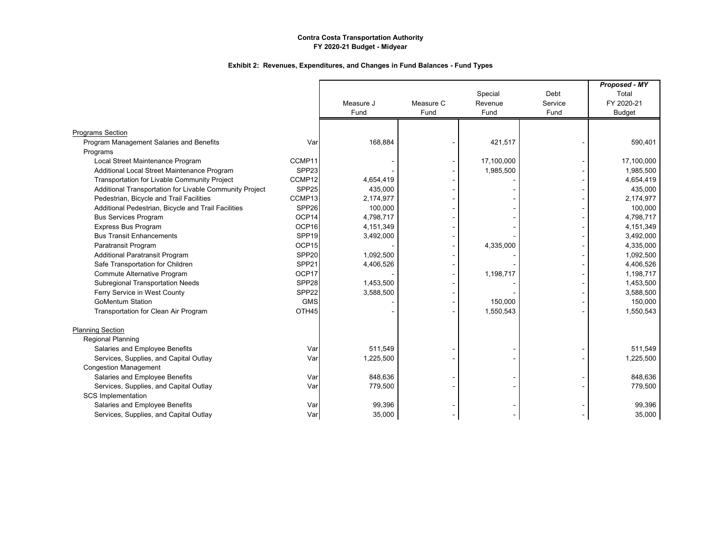|                                                         |                   |           |           |            |         | Proposed - MY |
|---------------------------------------------------------|-------------------|-----------|-----------|------------|---------|---------------|
|                                                         |                   |           |           | Special    | Debt    | Total         |
|                                                         |                   | Measure J | Measure C | Revenue    | Service | FY 2020-21    |
|                                                         |                   | Fund      | Fund      | Fund       | Fund    | <b>Budget</b> |
| <b>Programs Section</b>                                 |                   |           |           |            |         |               |
| Program Management Salaries and Benefits                | Var               | 168,884   |           | 421,517    |         | 590,401       |
| Programs                                                |                   |           |           |            |         |               |
| Local Street Maintenance Program                        | CCMP11            |           |           | 17,100,000 |         | 17,100,000    |
| Additional Local Street Maintenance Program             | SPP <sub>23</sub> |           |           | 1,985,500  |         | 1,985,500     |
| Transportation for Livable Community Project            | CCMP12            | 4,654,419 |           |            |         | 4,654,419     |
| Additional Transportation for Livable Community Project | SPP25             | 435,000   |           |            |         | 435,000       |
| Pedestrian, Bicycle and Trail Facilities                | CCMP13            | 2,174,977 |           |            |         | 2,174,977     |
| Additional Pedestrian, Bicycle and Trail Facilities     | SPP26             | 100,000   |           |            |         | 100,000       |
| <b>Bus Services Program</b>                             | OCP14             | 4,798,717 |           |            |         | 4,798,717     |
| <b>Express Bus Program</b>                              | OCP16             | 4,151,349 |           |            |         | 4,151,349     |
| <b>Bus Transit Enhancements</b>                         | SPP <sub>19</sub> | 3,492,000 |           |            |         | 3,492,000     |
| Paratransit Program                                     | OCP15             |           |           | 4,335,000  |         | 4,335,000     |
| <b>Additional Paratransit Program</b>                   | SPP20             | 1,092,500 |           |            |         | 1,092,500     |
| Safe Transportation for Children                        | SPP21             | 4,406,526 |           |            |         | 4,406,526     |
| Commute Alternative Program                             | OCP17             |           |           | 1,198,717  |         | 1,198,717     |
| <b>Subregional Transportation Needs</b>                 | SPP28             | 1,453,500 |           |            |         | 1,453,500     |
| Ferry Service in West County                            | SPP22             | 3,588,500 |           |            |         | 3,588,500     |
| <b>GoMentum Station</b>                                 | <b>GMS</b>        |           |           | 150,000    |         | 150,000       |
| Transportation for Clean Air Program                    | OTH45             |           |           | 1,550,543  |         | 1,550,543     |
|                                                         |                   |           |           |            |         |               |
| <b>Planning Section</b>                                 |                   |           |           |            |         |               |
| <b>Regional Planning</b>                                |                   |           |           |            |         |               |
| Salaries and Employee Benefits                          | Var               | 511,549   |           |            |         | 511,549       |
| Services, Supplies, and Capital Outlay                  | Var               | 1,225,500 |           |            |         | 1,225,500     |
| <b>Congestion Management</b>                            |                   |           |           |            |         |               |
| Salaries and Employee Benefits                          | Var               | 848,636   |           |            |         | 848.636       |
| Services, Supplies, and Capital Outlay                  | Var               | 779,500   |           |            |         | 779,500       |
| <b>SCS Implementation</b>                               |                   |           |           |            |         |               |
| Salaries and Employee Benefits                          | Var               | 99,396    |           |            |         | 99,396        |
| Services, Supplies, and Capital Outlay                  | Var               | 35,000    |           |            |         | 35,000        |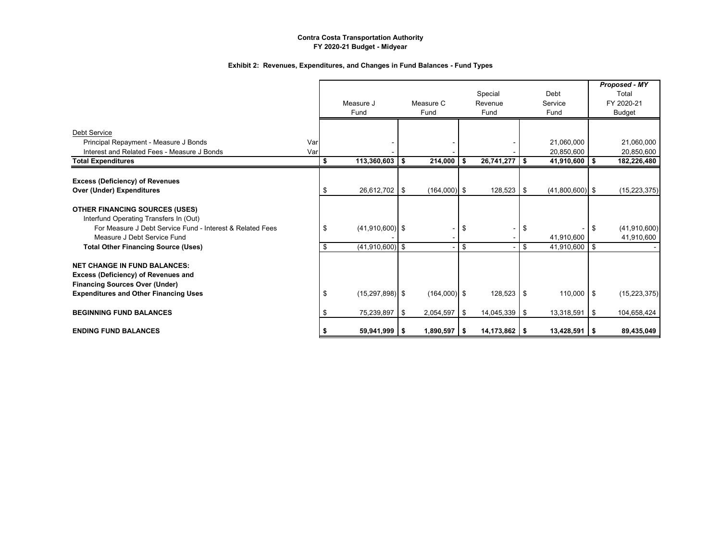|                                                           |     |                           |      |                |      |                 |                                     |      | Proposed - MY  |
|-----------------------------------------------------------|-----|---------------------------|------|----------------|------|-----------------|-------------------------------------|------|----------------|
|                                                           |     |                           |      |                |      | Special         | Debt                                |      | Total          |
|                                                           |     | Measure J                 |      | Measure C      |      | Revenue         | Service                             |      | FY 2020-21     |
|                                                           |     | Fund                      |      | Fund           |      | Fund            | Fund                                |      | Budget         |
|                                                           |     |                           |      |                |      |                 |                                     |      |                |
| Debt Service                                              |     |                           |      |                |      |                 |                                     |      |                |
| Principal Repayment - Measure J Bonds                     | Var |                           |      |                |      |                 | 21,060,000                          |      | 21,060,000     |
| Interest and Related Fees - Measure J Bonds               | Var |                           |      |                |      |                 | 20,850,600                          |      | 20,850,600     |
| <b>Total Expenditures</b>                                 |     | \$<br>113,360,603         | - \$ | 214,000        | -S.  | $26,741,277$ \$ | 41,910,600                          | - \$ | 182,226,480    |
|                                                           |     |                           |      |                |      |                 |                                     |      |                |
| <b>Excess (Deficiency) of Revenues</b>                    |     |                           |      |                |      |                 |                                     |      |                |
| <b>Over (Under) Expenditures</b>                          |     | \$<br>26,612,702 \$       |      | $(164,000)$ \$ |      | $128,523$ \$    | $(41,800,600)$ \$                   |      | (15, 223, 375) |
| <b>OTHER FINANCING SOURCES (USES)</b>                     |     |                           |      |                |      |                 |                                     |      |                |
| Interfund Operating Transfers In (Out)                    |     |                           |      |                |      |                 |                                     |      |                |
| For Measure J Debt Service Fund - Interest & Related Fees |     | \$<br>$(41,910,600)$ \$   |      |                | \$   |                 | \$                                  | -\$  | (41, 910, 600) |
| Measure J Debt Service Fund                               |     |                           |      |                |      |                 |                                     |      |                |
|                                                           |     | \$<br>$(41,910,600)$ \$   |      |                | \$   |                 | \$<br>41,910,600<br>$41,910,600$ \$ |      | 41,910,600     |
| <b>Total Other Financing Source (Uses)</b>                |     |                           |      |                |      |                 |                                     |      |                |
| <b>NET CHANGE IN FUND BALANCES:</b>                       |     |                           |      |                |      |                 |                                     |      |                |
| Excess (Deficiency) of Revenues and                       |     |                           |      |                |      |                 |                                     |      |                |
| <b>Financing Sources Over (Under)</b>                     |     |                           |      |                |      |                 |                                     |      |                |
| <b>Expenditures and Other Financing Uses</b>              |     | \$<br>$(15, 297, 898)$ \$ |      | $(164,000)$ \$ |      | $128,523$ \$    | $110,000$ $\sqrt{5}$                |      | (15, 223, 375) |
|                                                           |     |                           |      |                |      |                 |                                     |      |                |
| <b>BEGINNING FUND BALANCES</b>                            |     | \$<br>75,239,897 \$       |      | 2,054,597      | l \$ | 14,045,339 \$   | 13,318,591                          | l \$ | 104,658,424    |
| <b>ENDING FUND BALANCES</b>                               |     | $59,941,999$ \$           |      | $1,890,597$ \$ |      | $14,173,862$ \$ | $13,428,591$ \$                     |      | 89,435,049     |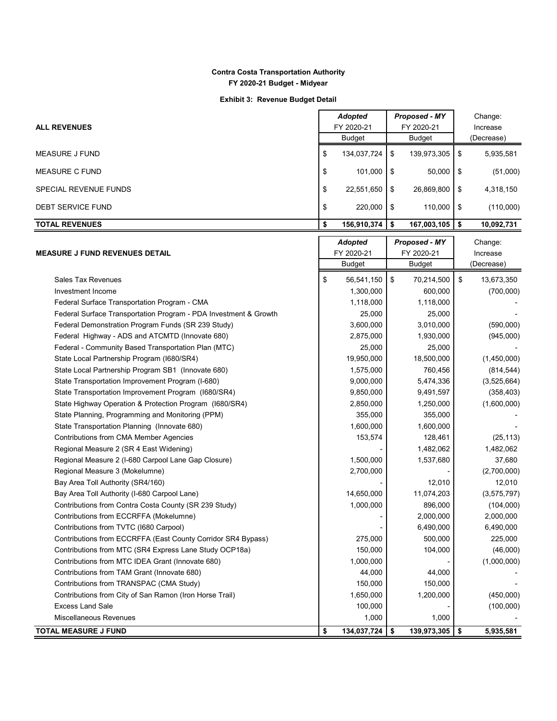**Exhibit 3: Revenue Budget Detail**

|                              |               | Adopted            |            | <b>Proposed - MY</b> |            | Change:    |
|------------------------------|---------------|--------------------|------------|----------------------|------------|------------|
| <b>ALL REVENUES</b>          | FY 2020-21    |                    | FY 2020-21 |                      | Increase   |            |
|                              | <b>Budget</b> |                    | Budget     |                      | (Decrease) |            |
| MEASURE J FUND               | \$            | 134,037,724        | \$         | 139,973,305          | \$         | 5,935,581  |
| <b>MEASURE C FUND</b>        | \$            | $101,000$ \$       |            | 50,000               | \$         | (51,000)   |
| <b>SPECIAL REVENUE FUNDS</b> | \$            | 22,551,650         | ՝ \$       | 26,869,800           | \$         | 4,318,150  |
| <b>DEBT SERVICE FUND</b>     | \$            | $220,000$ \$       |            | 110,000              | \$         | (110,000)  |
| <b>TOTAL REVENUES</b>        |               | $156,910,374$   \$ |            | 167,003,105          | S          | 10,092,731 |
|                              |               | Adonted            |            | <b>Pronosed - MV</b> |            | Change:    |

|                                                                  | <b>Adopted</b>    |    | <b>Proposed - MY</b> |          | Change:     |  |
|------------------------------------------------------------------|-------------------|----|----------------------|----------|-------------|--|
| <b>MEASURE J FUND REVENUES DETAIL</b>                            | FY 2020-21        |    | FY 2020-21           | Increase |             |  |
|                                                                  | <b>Budget</b>     |    | <b>Budget</b>        |          | (Decrease)  |  |
| <b>Sales Tax Revenues</b>                                        | \$<br>56,541,150  | \$ | 70,214,500           | \$       | 13,673,350  |  |
| Investment Income                                                | 1,300,000         |    | 600,000              |          | (700,000)   |  |
| Federal Surface Transportation Program - CMA                     | 1,118,000         |    | 1,118,000            |          |             |  |
| Federal Surface Transportation Program - PDA Investment & Growth | 25,000            |    | 25,000               |          |             |  |
| Federal Demonstration Program Funds (SR 239 Study)               | 3,600,000         |    | 3,010,000            |          | (590,000)   |  |
| Federal Highway - ADS and ATCMTD (Innovate 680)                  | 2,875,000         |    | 1,930,000            |          | (945,000)   |  |
| Federal - Community Based Transportation Plan (MTC)              | 25,000            |    | 25,000               |          |             |  |
| State Local Partnership Program (1680/SR4)                       | 19,950,000        |    | 18,500,000           |          | (1,450,000) |  |
| State Local Partnership Program SB1 (Innovate 680)               | 1,575,000         |    | 760,456              |          | (814, 544)  |  |
| State Transportation Improvement Program (I-680)                 | 9,000,000         |    | 5,474,336            |          | (3,525,664) |  |
| State Transportation Improvement Program (I680/SR4)              | 9,850,000         |    | 9,491,597            |          | (358, 403)  |  |
| State Highway Operation & Protection Program (I680/SR4)          | 2,850,000         |    | 1,250,000            |          | (1,600,000) |  |
| State Planning, Programming and Monitoring (PPM)                 | 355,000           |    | 355,000              |          |             |  |
| State Transportation Planning (Innovate 680)                     | 1,600,000         |    | 1,600,000            |          |             |  |
| Contributions from CMA Member Agencies                           | 153,574           |    | 128,461              |          | (25, 113)   |  |
| Regional Measure 2 (SR 4 East Widening)                          |                   |    | 1,482,062            |          | 1,482,062   |  |
| Regional Measure 2 (I-680 Carpool Lane Gap Closure)              | 1,500,000         |    | 1,537,680            |          | 37,680      |  |
| Regional Measure 3 (Mokelumne)                                   | 2,700,000         |    |                      |          | (2,700,000) |  |
| Bay Area Toll Authority (SR4/160)                                |                   |    | 12,010               |          | 12,010      |  |
| Bay Area Toll Authority (I-680 Carpool Lane)                     | 14,650,000        |    | 11,074,203           |          | (3,575,797) |  |
| Contributions from Contra Costa County (SR 239 Study)            | 1,000,000         |    | 896,000              |          | (104,000)   |  |
| Contributions from ECCRFFA (Mokelumne)                           |                   |    | 2,000,000            |          | 2,000,000   |  |
| Contributions from TVTC (I680 Carpool)                           |                   |    | 6,490,000            |          | 6,490,000   |  |
| Contributions from ECCRFFA (East County Corridor SR4 Bypass)     | 275,000           |    | 500,000              |          | 225,000     |  |
| Contributions from MTC (SR4 Express Lane Study OCP18a)           | 150,000           |    | 104,000              |          | (46,000)    |  |
| Contributions from MTC IDEA Grant (Innovate 680)                 | 1,000,000         |    |                      |          | (1,000,000) |  |
| Contributions from TAM Grant (Innovate 680)                      | 44,000            |    | 44,000               |          |             |  |
| Contributions from TRANSPAC (CMA Study)                          | 150,000           |    | 150,000              |          |             |  |
| Contributions from City of San Ramon (Iron Horse Trail)          | 1,650,000         |    | 1,200,000            |          | (450,000)   |  |
| <b>Excess Land Sale</b>                                          | 100,000           |    |                      |          | (100,000)   |  |
| Miscellaneous Revenues                                           | 1,000             |    | 1,000                |          |             |  |
| <b>TOTAL MEASURE J FUND</b>                                      | \$<br>134,037,724 | \$ | 139,973,305          | \$       | 5,935,581   |  |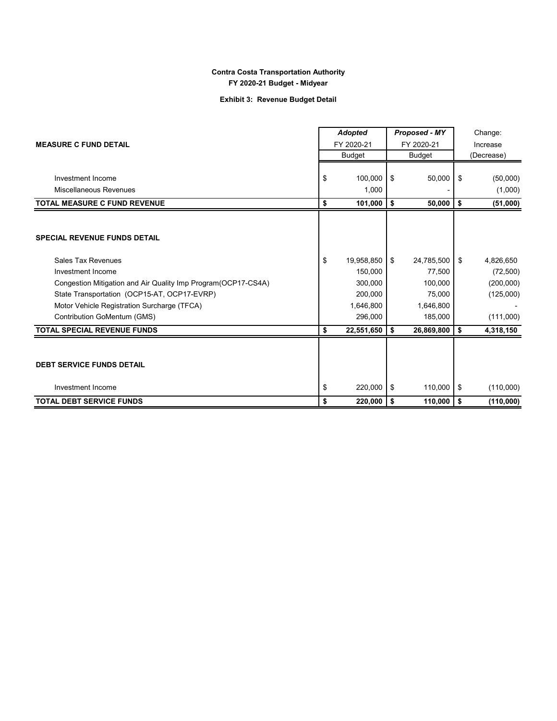## **Exhibit 3: Revenue Budget Detail**

|                                                                | <b>Adopted</b>   | <b>Proposed - MY</b> |            | Change:    |           |  |
|----------------------------------------------------------------|------------------|----------------------|------------|------------|-----------|--|
| <b>MEASURE C FUND DETAIL</b>                                   | FY 2020-21       |                      | FY 2020-21 |            | Increase  |  |
|                                                                | <b>Budget</b>    | <b>Budget</b>        |            | (Decrease) |           |  |
|                                                                |                  |                      |            |            |           |  |
| Investment Income                                              | \$<br>100,000    | \$                   | 50,000     | \$         | (50,000)  |  |
| Miscellaneous Revenues                                         | 1,000            |                      |            |            | (1,000)   |  |
| <b>TOTAL MEASURE C FUND REVENUE</b>                            | \$<br>101,000    | \$                   | 50,000     | \$         | (51,000)  |  |
|                                                                |                  |                      |            |            |           |  |
| <b>SPECIAL REVENUE FUNDS DETAIL</b>                            |                  |                      |            |            |           |  |
| Sales Tax Revenues                                             | \$<br>19,958,850 | \$                   | 24,785,500 | \$         | 4,826,650 |  |
| Investment Income                                              | 150,000          |                      | 77,500     |            | (72, 500) |  |
| Congestion Mitigation and Air Quality Imp Program (OCP17-CS4A) | 300,000          |                      | 100,000    |            | (200,000) |  |
| State Transportation (OCP15-AT, OCP17-EVRP)                    | 200,000          |                      | 75,000     |            | (125,000) |  |
| Motor Vehicle Registration Surcharge (TFCA)                    | 1,646,800        |                      | 1,646,800  |            |           |  |
| Contribution GoMentum (GMS)                                    | 296,000          |                      | 185,000    |            | (111,000) |  |
| <b>TOTAL SPECIAL REVENUE FUNDS</b>                             | \$<br>22,551,650 | \$                   | 26,869,800 | \$         | 4,318,150 |  |
|                                                                |                  |                      |            |            |           |  |
| <b>DEBT SERVICE FUNDS DETAIL</b>                               |                  |                      |            |            |           |  |
| Investment Income                                              | \$<br>220,000    | \$                   | 110,000    | \$         | (110,000) |  |
| <b>TOTAL DEBT SERVICE FUNDS</b>                                | \$<br>220,000    | \$                   | 110,000    | \$         | (110,000) |  |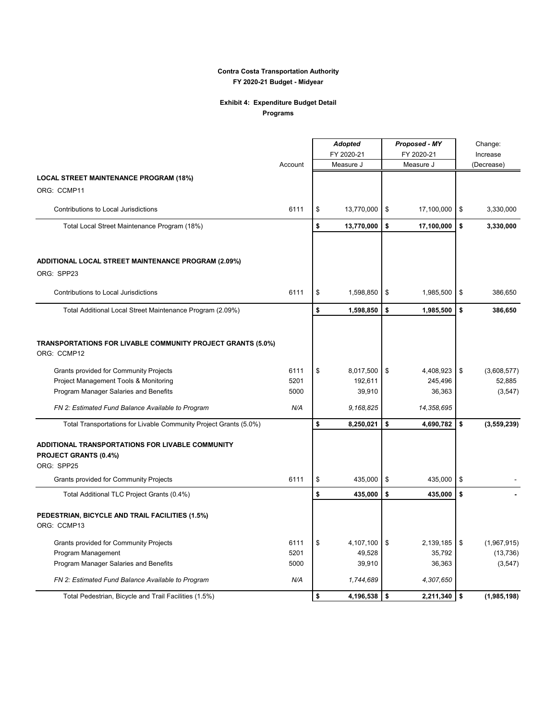# **Exhibit 4: Expenditure Budget Detail**

| Programs |  |
|----------|--|
|----------|--|

|                                                                                         |         | <b>Adopted</b>   | Proposed - MY |            | Change:  |             |  |
|-----------------------------------------------------------------------------------------|---------|------------------|---------------|------------|----------|-------------|--|
|                                                                                         |         | FY 2020-21       | FY 2020-21    |            | Increase |             |  |
|                                                                                         | Account | Measure J        |               | Measure J  |          | (Decrease)  |  |
| <b>LOCAL STREET MAINTENANCE PROGRAM (18%)</b>                                           |         |                  |               |            |          |             |  |
| ORG: CCMP11                                                                             |         |                  |               |            |          |             |  |
| Contributions to Local Jurisdictions                                                    | 6111    | \$<br>13,770,000 | \$            | 17,100,000 | \$       | 3,330,000   |  |
| Total Local Street Maintenance Program (18%)                                            |         | \$<br>13,770,000 | \$            | 17,100,000 | \$       | 3,330,000   |  |
| ADDITIONAL LOCAL STREET MAINTENANCE PROGRAM (2.09%)<br>ORG: SPP23                       |         |                  |               |            |          |             |  |
| Contributions to Local Jurisdictions                                                    | 6111    | \$<br>1,598,850  | \$            | 1,985,500  | \$       | 386,650     |  |
| Total Additional Local Street Maintenance Program (2.09%)                               |         | \$<br>1,598,850  | \$            | 1,985,500  | \$       | 386,650     |  |
| TRANSPORTATIONS FOR LIVABLE COMMUNITY PROJECT GRANTS (5.0%)<br>ORG: CCMP12              |         |                  |               |            |          |             |  |
| Grants provided for Community Projects                                                  | 6111    | \$<br>8,017,500  | \$            | 4,408,923  | \$       | (3,608,577) |  |
| Project Management Tools & Monitoring                                                   | 5201    | 192,611          |               | 245,496    |          | 52,885      |  |
| Program Manager Salaries and Benefits                                                   | 5000    | 39,910           |               | 36,363     |          | (3, 547)    |  |
| FN 2: Estimated Fund Balance Available to Program                                       | N/A     | 9,168,825        |               | 14,358,695 |          |             |  |
| Total Transportations for Livable Community Project Grants (5.0%)                       |         | \$<br>8,250,021  | \$            | 4,690,782  | \$       | (3,559,239) |  |
| ADDITIONAL TRANSPORTATIONS FOR LIVABLE COMMUNITY<br>PROJECT GRANTS (0.4%)<br>ORG: SPP25 |         |                  |               |            |          |             |  |
| <b>Grants provided for Community Projects</b>                                           | 6111    | \$<br>435,000    | \$            | 435,000    | \$       |             |  |
| Total Additional TLC Project Grants (0.4%)                                              |         | \$<br>435,000    | \$            | 435,000    | \$       |             |  |
| PEDESTRIAN, BICYCLE AND TRAIL FACILITIES (1.5%)<br>ORG: CCMP13                          |         |                  |               |            |          |             |  |
| Grants provided for Community Projects                                                  | 6111    | \$<br>4,107,100  | \$            | 2,139,185  | \$       | (1,967,915) |  |
| Program Management                                                                      | 5201    | 49,528           |               | 35,792     |          | (13, 736)   |  |
| Program Manager Salaries and Benefits                                                   | 5000    | 39,910           |               | 36,363     |          | (3, 547)    |  |
| FN 2: Estimated Fund Balance Available to Program                                       | N/A     | 1,744,689        |               | 4,307,650  |          |             |  |
| Total Pedestrian, Bicycle and Trail Facilities (1.5%)                                   |         | \$<br>4,196,538  | \$            | 2,211,340  | l \$     | (1,985,198) |  |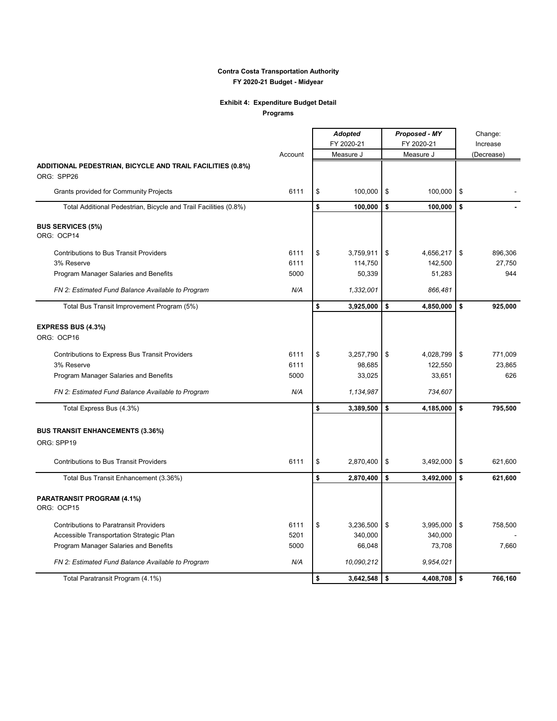# **Exhibit 4: Expenditure Budget Detail**

**Programs**

 $\mathbf{r}$ 

|                                                                  |         | <b>Adopted</b> |                  | <b>Proposed - MY</b> | Change: |            |  |
|------------------------------------------------------------------|---------|----------------|------------------|----------------------|---------|------------|--|
|                                                                  |         |                | FY 2020-21       | FY 2020-21           |         | Increase   |  |
|                                                                  | Account |                | Measure J        | Measure J            |         | (Decrease) |  |
| ADDITIONAL PEDESTRIAN, BICYCLE AND TRAIL FACILITIES (0.8%)       |         |                |                  |                      |         |            |  |
| ORG: SPP26                                                       |         |                |                  |                      |         |            |  |
| <b>Grants provided for Community Projects</b>                    | 6111    | \$             | 100,000          | \$<br>100,000        | \$      |            |  |
| Total Additional Pedestrian, Bicycle and Trail Facilities (0.8%) |         | \$             | 100,000          | \$<br>100,000        | \$      |            |  |
| <b>BUS SERVICES (5%)</b><br>ORG: OCP14                           |         |                |                  |                      |         |            |  |
| <b>Contributions to Bus Transit Providers</b>                    | 6111    | \$             | 3,759,911        | \$<br>4,656,217      | \$      | 896,306    |  |
| 3% Reserve                                                       | 6111    |                | 114,750          | 142,500              |         | 27,750     |  |
| Program Manager Salaries and Benefits                            | 5000    |                | 50,339           | 51,283               |         | 944        |  |
| FN 2: Estimated Fund Balance Available to Program                | N/A     |                | 1,332,001        | 866,481              |         |            |  |
| Total Bus Transit Improvement Program (5%)                       |         | \$             | 3,925,000        | \$<br>4,850,000      | \$      | 925,000    |  |
| <b>EXPRESS BUS (4.3%)</b>                                        |         |                |                  |                      |         |            |  |
| ORG: OCP16                                                       |         |                |                  |                      |         |            |  |
| Contributions to Express Bus Transit Providers                   | 6111    | \$             | 3,257,790        | \$<br>4,028,799      | \$      | 771,009    |  |
| 3% Reserve                                                       | 6111    |                | 98,685           | 122,550              |         | 23,865     |  |
| Program Manager Salaries and Benefits                            | 5000    |                | 33,025           | 33,651               |         | 626        |  |
| FN 2: Estimated Fund Balance Available to Program                | N/A     |                | 1,134,987        | 734,607              |         |            |  |
| Total Express Bus (4.3%)                                         |         | \$             | 3,389,500        | \$<br>4,185,000      | \$      | 795,500    |  |
| <b>BUS TRANSIT ENHANCEMENTS (3.36%)</b>                          |         |                |                  |                      |         |            |  |
| ORG: SPP19                                                       |         |                |                  |                      |         |            |  |
| <b>Contributions to Bus Transit Providers</b>                    | 6111    | \$             | 2,870,400        | \$<br>3,492,000      | \$      | 621,600    |  |
| Total Bus Transit Enhancement (3.36%)                            |         | \$             | 2,870,400        | \$<br>3,492,000      | \$      | 621,600    |  |
| PARATRANSIT PROGRAM (4.1%)<br>ORG: OCP15                         |         |                |                  |                      |         |            |  |
| <b>Contributions to Paratransit Providers</b>                    | 6111    | \$             | 3,236,500        | 3,995,000<br>\$      | \$      | 758,500    |  |
| Accessible Transportation Strategic Plan                         | 5201    |                | 340,000          | 340,000              |         |            |  |
| Program Manager Salaries and Benefits                            | 5000    |                | 66,048           | 73,708               |         | 7,660      |  |
| FN 2: Estimated Fund Balance Available to Program                | N/A     |                | 10,090,212       | 9,954,021            |         |            |  |
| Total Paratransit Program (4.1%)                                 |         | \$             | $3,642,548$   \$ | $4,408,708$ \$       |         | 766.160    |  |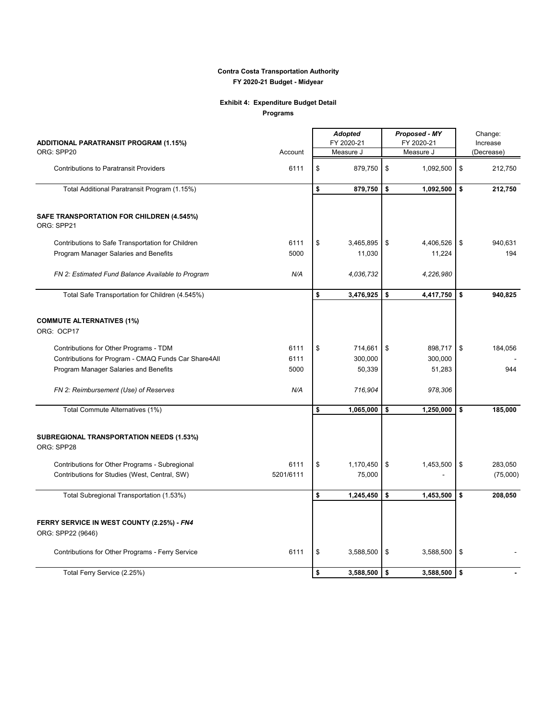## **Exhibit 4: Expenditure Budget Detail Programs**

| ADDITIONAL PARATRANSIT PROGRAM (1.15%)                          |           | <b>Adopted</b><br>FY 2020-21 |    | Proposed - MY<br>FY 2020-21 |    | Change:<br>Increase |  |
|-----------------------------------------------------------------|-----------|------------------------------|----|-----------------------------|----|---------------------|--|
| ORG: SPP20                                                      | Account   | Measure J                    |    | Measure J                   |    | (Decrease)          |  |
| <b>Contributions to Paratransit Providers</b>                   | 6111      | \$<br>879,750                | \$ | 1,092,500                   | \$ | 212,750             |  |
| Total Additional Paratransit Program (1.15%)                    |           | \$<br>879,750                | \$ | 1,092,500                   | \$ | 212,750             |  |
| SAFE TRANSPORTATION FOR CHILDREN (4.545%)<br>ORG: SPP21         |           |                              |    |                             |    |                     |  |
| Contributions to Safe Transportation for Children               | 6111      | \$<br>3,465,895              | \$ | 4,406,526                   | \$ | 940,631             |  |
| Program Manager Salaries and Benefits                           | 5000      | 11,030                       |    | 11,224                      |    | 194                 |  |
| FN 2: Estimated Fund Balance Available to Program               | N/A       | 4,036,732                    |    | 4,226,980                   |    |                     |  |
| Total Safe Transportation for Children (4.545%)                 |           | \$<br>3,476,925              | \$ | 4,417,750                   | \$ | 940,825             |  |
|                                                                 |           |                              |    |                             |    |                     |  |
| <b>COMMUTE ALTERNATIVES (1%)</b><br>ORG: OCP17                  |           |                              |    |                             |    |                     |  |
| Contributions for Other Programs - TDM                          | 6111      | \$<br>714,661                | \$ | 898,717                     | \$ | 184,056             |  |
| Contributions for Program - CMAQ Funds Car Share4All            | 6111      | 300,000                      |    | 300,000                     |    |                     |  |
| Program Manager Salaries and Benefits                           | 5000      | 50,339                       |    | 51,283                      |    | 944                 |  |
| FN 2: Reimbursement (Use) of Reserves                           | N/A       | 716,904                      |    | 978,306                     |    |                     |  |
| Total Commute Alternatives (1%)                                 |           | \$<br>1,065,000              | \$ | 1,250,000                   | \$ | 185,000             |  |
|                                                                 |           |                              |    |                             |    |                     |  |
| <b>SUBREGIONAL TRANSPORTATION NEEDS (1.53%)</b><br>ORG: SPP28   |           |                              |    |                             |    |                     |  |
| Contributions for Other Programs - Subregional                  | 6111      | \$<br>1,170,450              | \$ | 1,453,500                   | \$ | 283,050             |  |
| Contributions for Studies (West, Central, SW)                   | 5201/6111 | 75,000                       |    |                             |    | (75,000)            |  |
| Total Subregional Transportation (1.53%)                        |           | \$<br>1,245,450              | \$ | 1,453,500                   | \$ | 208,050             |  |
|                                                                 |           |                              |    |                             |    |                     |  |
|                                                                 |           |                              |    |                             |    |                     |  |
| FERRY SERVICE IN WEST COUNTY (2.25%) - FN4<br>ORG: SPP22 (9646) |           |                              |    |                             |    |                     |  |
|                                                                 |           |                              |    |                             |    |                     |  |
| Contributions for Other Programs - Ferry Service                | 6111      | \$<br>3,588,500              | \$ | 3,588,500                   | \$ |                     |  |
| Total Ferry Service (2.25%)                                     |           | \$<br>3,588,500              | \$ | 3,588,500                   | \$ |                     |  |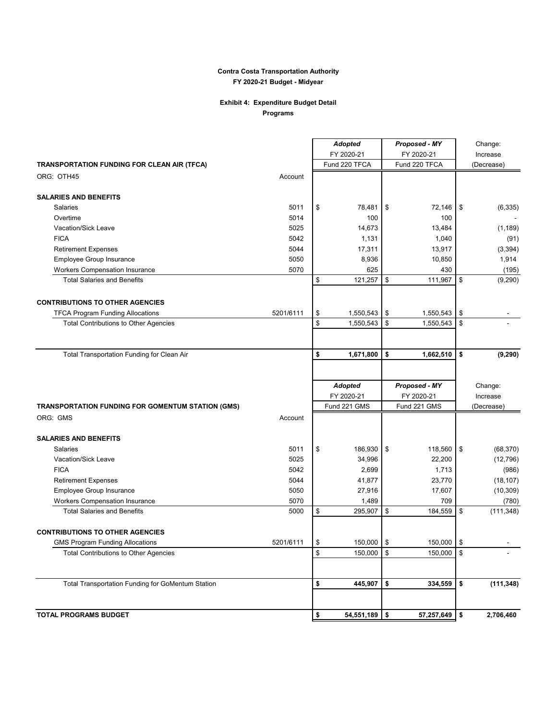## **Exhibit 4: Expenditure Budget Detail Programs**

|                                                   |           | <b>Adopted</b>        | Proposed - MY   |          | Change:    |  |
|---------------------------------------------------|-----------|-----------------------|-----------------|----------|------------|--|
|                                                   |           | FY 2020-21            | FY 2020-21      |          | Increase   |  |
| TRANSPORTATION FUNDING FOR CLEAN AIR (TFCA)       |           | Fund 220 TFCA         | Fund 220 TFCA   |          | (Decrease) |  |
| ORG: OTH45                                        | Account   |                       |                 |          |            |  |
| <b>SALARIES AND BENEFITS</b>                      |           |                       |                 |          |            |  |
| Salaries                                          | 5011      | \$<br>78,481          | \$<br>72,146    | \$       | (6, 335)   |  |
| Overtime                                          | 5014      | 100                   | 100             |          |            |  |
| Vacation/Sick Leave                               | 5025      | 14,673                | 13,484          |          | (1, 189)   |  |
| <b>FICA</b>                                       | 5042      | 1,131                 | 1,040           |          | (91)       |  |
| <b>Retirement Expenses</b>                        | 5044      | 17,311                | 13,917          |          | (3, 394)   |  |
| Employee Group Insurance                          | 5050      | 8,936                 | 10,850          |          | 1,914      |  |
| Workers Compensation Insurance                    | 5070      | 625                   | 430             |          | (195)      |  |
| <b>Total Salaries and Benefits</b>                |           | \$<br>121,257         | \$<br>111,967   | \$       | (9,290)    |  |
| <b>CONTRIBUTIONS TO OTHER AGENCIES</b>            |           |                       |                 |          |            |  |
| <b>TFCA Program Funding Allocations</b>           | 5201/6111 | \$<br>1,550,543       | \$<br>1,550,543 | \$       |            |  |
| Total Contributions to Other Agencies             |           | \$<br>1,550,543       | \$<br>1,550,543 | \$       |            |  |
|                                                   |           |                       |                 |          |            |  |
| Total Transportation Funding for Clean Air        |           | \$<br>1,671,800       | \$<br>1,662,510 | \$       | (9, 290)   |  |
|                                                   |           |                       |                 |          |            |  |
|                                                   |           | <b>Adopted</b>        | Proposed - MY   |          | Change:    |  |
|                                                   |           | FY 2020-21            | FY 2020-21      | Increase |            |  |
| TRANSPORTATION FUNDING FOR GOMENTUM STATION (GMS) |           | Fund 221 GMS          | Fund 221 GMS    |          | (Decrease) |  |
| ORG: GMS                                          | Account   |                       |                 |          |            |  |
| <b>SALARIES AND BENEFITS</b>                      |           |                       |                 |          |            |  |
| <b>Salaries</b>                                   | 5011      | \$<br>186,930         | \$<br>118,560   | \$       | (68, 370)  |  |
| Vacation/Sick Leave                               | 5025      | 34,996                | 22,200          |          | (12, 796)  |  |
| <b>FICA</b>                                       | 5042      | 2,699                 | 1,713           |          | (986)      |  |
| <b>Retirement Expenses</b>                        | 5044      | 41,877                | 23,770          |          | (18, 107)  |  |
| Employee Group Insurance                          |           |                       |                 |          | (10, 309)  |  |
|                                                   | 5050      | 27,916                | 17,607          |          |            |  |
| <b>Workers Compensation Insurance</b>             | 5070      | 1,489                 | 709             |          | (780)      |  |
| <b>Total Salaries and Benefits</b>                | 5000      | \$<br>295,907         | \$<br>184,559   | \$       | (111, 348) |  |
| <b>CONTRIBUTIONS TO OTHER AGENCIES</b>            |           |                       |                 |          |            |  |
| <b>GMS Program Funding Allocations</b>            | 5201/6111 | \$<br>150,000 \$      | $150,000$ \$    |          |            |  |
| <b>Total Contributions to Other Agencies</b>      |           | \$<br>150,000         | \$<br>150,000   | \$       |            |  |
|                                                   |           |                       |                 |          |            |  |
| Total Transportation Funding for GoMentum Station |           | \$<br>445,907 \$      | 334,559         | \$       | (111, 348) |  |
| <b>TOTAL PROGRAMS BUDGET</b>                      |           | \$<br>$54,551,189$ \$ | 57,257,649      | ا \$     | 2,706,460  |  |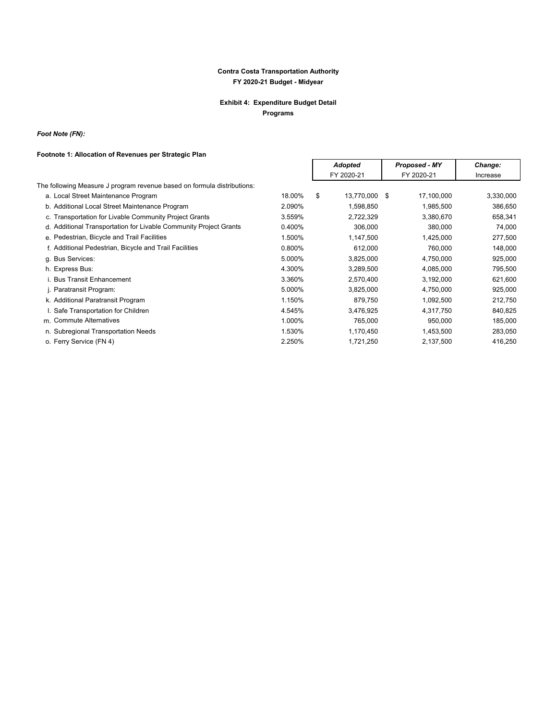## **Exhibit 4: Expenditure Budget Detail Programs**

*Foot Note (FN):*

## **Footnote 1: Allocation of Revenues per Strategic Plan**

|                                                                         |        | <b>Adopted</b>      |  | Proposed - MY | Change:   |  |
|-------------------------------------------------------------------------|--------|---------------------|--|---------------|-----------|--|
|                                                                         |        | FY 2020-21          |  | FY 2020-21    | Increase  |  |
| The following Measure J program revenue based on formula distributions: |        |                     |  |               |           |  |
| a. Local Street Maintenance Program                                     | 18.00% | \$<br>13,770,000 \$ |  | 17,100,000    | 3,330,000 |  |
| b. Additional Local Street Maintenance Program                          | 2.090% | 1,598,850           |  | 1,985,500     | 386,650   |  |
| c. Transportation for Livable Community Project Grants                  | 3.559% | 2,722,329           |  | 3,380,670     | 658,341   |  |
| d. Additional Transportation for Livable Community Project Grants       | 0.400% | 306,000             |  | 380,000       | 74,000    |  |
| e. Pedestrian, Bicycle and Trail Facilities                             | 1.500% | 1,147,500           |  | 1,425,000     | 277,500   |  |
| f. Additional Pedestrian, Bicycle and Trail Facilities                  | 0.800% | 612,000             |  | 760,000       | 148,000   |  |
| g. Bus Services:                                                        | 5.000% | 3,825,000           |  | 4,750,000     | 925,000   |  |
| h. Express Bus:                                                         | 4.300% | 3,289,500           |  | 4,085,000     | 795,500   |  |
| i. Bus Transit Enhancement                                              | 3.360% | 2,570,400           |  | 3,192,000     | 621,600   |  |
| j. Paratransit Program:                                                 | 5.000% | 3,825,000           |  | 4,750,000     | 925,000   |  |
| k. Additional Paratransit Program                                       | 1.150% | 879,750             |  | 1,092,500     | 212,750   |  |
| I. Safe Transportation for Children                                     | 4.545% | 3,476,925           |  | 4,317,750     | 840,825   |  |
| m. Commute Alternatives                                                 | 1.000% | 765,000             |  | 950,000       | 185,000   |  |
| n. Subregional Transportation Needs                                     | 1.530% | 1,170,450           |  | 1,453,500     | 283,050   |  |
| o. Ferry Service (FN 4)                                                 | 2.250% | 1,721,250           |  | 2,137,500     | 416,250   |  |
|                                                                         |        |                     |  |               |           |  |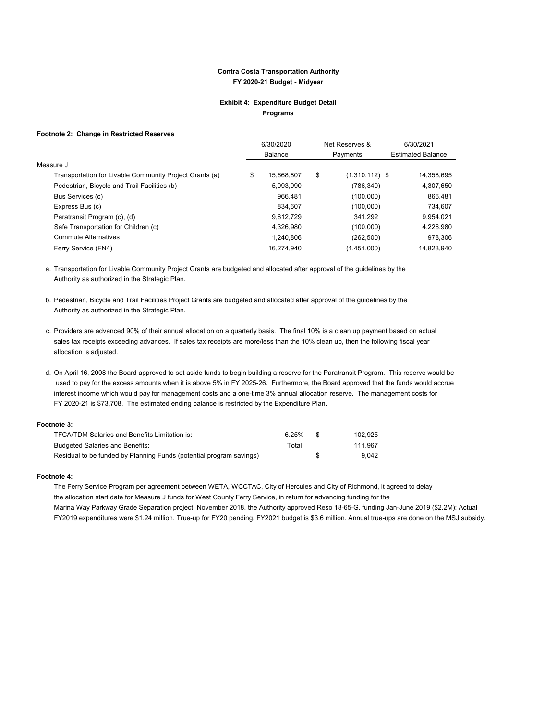#### **Exhibit 4: Expenditure Budget Detail Programs**

#### **Footnote 2: Change in Restricted Reserves**

|                                                         | 6/30/2020        | Net Reserves &         |                          | 6/30/2021  |  |
|---------------------------------------------------------|------------------|------------------------|--------------------------|------------|--|
|                                                         | <b>Balance</b>   | Payments               | <b>Estimated Balance</b> |            |  |
| Measure J                                               |                  |                        |                          |            |  |
| Transportation for Livable Community Project Grants (a) | \$<br>15,668,807 | \$<br>$(1,310,112)$ \$ |                          | 14,358,695 |  |
| Pedestrian, Bicycle and Trail Facilities (b)            | 5,093,990        | (786, 340)             |                          | 4,307,650  |  |
| Bus Services (c)                                        | 966.481          | (100,000)              |                          | 866,481    |  |
| Express Bus (c)                                         | 834.607          | (100,000)              |                          | 734,607    |  |
| Paratransit Program (c), (d)                            | 9,612,729        | 341,292                |                          | 9,954,021  |  |
| Safe Transportation for Children (c)                    | 4,326,980        | (100,000)              |                          | 4,226,980  |  |
| <b>Commute Alternatives</b>                             | 1,240,806        | (262, 500)             |                          | 978,306    |  |
| Ferry Service (FN4)                                     | 16.274.940       | (1,451,000)            |                          | 14.823.940 |  |
|                                                         |                  |                        |                          |            |  |

a. Transportation for Livable Community Project Grants are budgeted and allocated after approval of the guidelines by the Authority as authorized in the Strategic Plan.

- b. Pedestrian, Bicycle and Trail Facilities Project Grants are budgeted and allocated after approval of the guidelines by the Authority as authorized in the Strategic Plan.
- c. Providers are advanced 90% of their annual allocation on a quarterly basis. The final 10% is a clean up payment based on actual sales tax receipts exceeding advances. If sales tax receipts are more/less than the 10% clean up, then the following fiscal year allocation is adjusted.
- d. On April 16, 2008 the Board approved to set aside funds to begin building a reserve for the Paratransit Program. This reserve would be used to pay for the excess amounts when it is above 5% in FY 2025-26. Furthermore, the Board approved that the funds would accrue interest income which would pay for management costs and a one-time 3% annual allocation reserve. The management costs for FY 2020-21 is \$73,708. The estimated ending balance is restricted by the Expenditure Plan.

#### **Footnote 3:**

| <b>TFCA/TDM Salaries and Benefits Limitation is:</b>                | 6.25% | 102.925 |
|---------------------------------------------------------------------|-------|---------|
| <b>Budgeted Salaries and Benefits:</b>                              | Total | 111.967 |
| Residual to be funded by Planning Funds (potential program savings) |       | 9.042   |

#### **Footnote 4:**

The Ferry Service Program per agreement between WETA, WCCTAC, City of Hercules and City of Richmond, it agreed to delay the allocation start date for Measure J funds for West County Ferry Service, in return for advancing funding for the Marina Way Parkway Grade Separation project. November 2018, the Authority approved Reso 18-65-G, funding Jan-June 2019 (\$2.2M); Actual FY2019 expenditures were \$1.24 million. True-up for FY20 pending. FY2021 budget is \$3.6 million. Annual true-ups are done on the MSJ subsidy.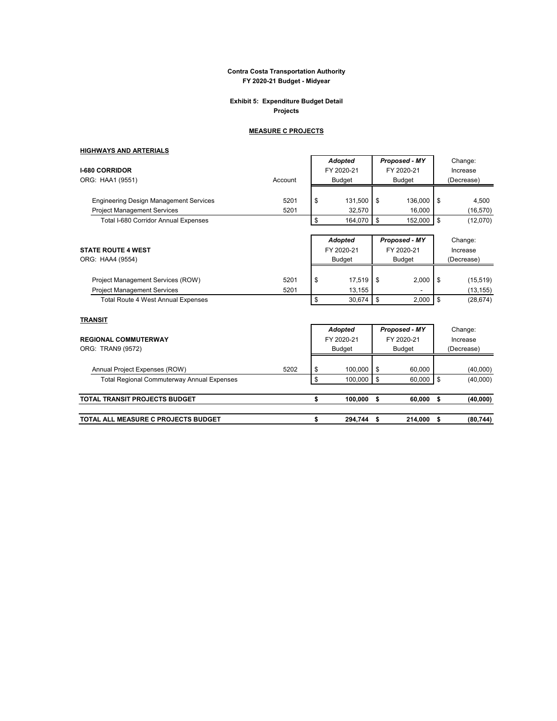## **Exhibit 5: Expenditure Budget Detail Projects**

## **MEASURE C PROJECTS**

 $\mathsf{r}$ 

# **HIGHWAYS AND ARTERIALS**

| <b>I-680 CORRIDOR</b><br>ORG: HAA1 (9551)                                           | Account      | <b>Adopted</b><br>FY 2020-21<br><b>Budget</b> | Proposed - MY<br>FY 2020-21<br><b>Budget</b> | Change:<br>Increase<br>(Decrease) |
|-------------------------------------------------------------------------------------|--------------|-----------------------------------------------|----------------------------------------------|-----------------------------------|
| <b>Engineering Design Management Services</b><br><b>Project Management Services</b> | 5201<br>5201 | \$<br>131,500<br>32,570                       | \$<br>136.000<br>16,000                      | \$<br>4,500<br>(16, 570)          |
| Total I-680 Corridor Annual Expenses                                                |              | \$<br>164,070                                 | \$<br>152,000                                | \$<br>(12,070)                    |
| <b>STATE ROUTE 4 WEST</b><br>ORG: HAA4 (9554)                                       |              | <b>Adopted</b><br>FY 2020-21<br><b>Budget</b> | Proposed - MY<br>FY 2020-21<br><b>Budget</b> | Change:<br>Increase<br>(Decrease) |
| Project Management Services (ROW)<br><b>Project Management Services</b>             | 5201<br>5201 | \$<br>17,519<br>13,155                        | \$<br>2,000                                  | \$<br>(15, 519)<br>(13, 155)      |
| <b>Total Route 4 West Annual Expenses</b>                                           |              | \$<br>30,674                                  | \$<br>2,000                                  | \$<br>(28, 674)                   |
| <b>TRANSIT</b>                                                                      |              | <b>Adopted</b>                                | Proposed - MY                                | Change:                           |
| <b>REGIONAL COMMUTERWAY</b><br>ORG: TRAN9 (9572)                                    |              | FY 2020-21<br>Budget                          | FY 2020-21<br><b>Budget</b>                  | Increase<br>(Decrease)            |
| Annual Project Expenses (ROW)                                                       | 5202         | \$<br>100,000                                 | \$<br>60,000                                 | (40,000)                          |
| <b>Total Regional Commuterway Annual Expenses</b>                                   |              | \$<br>100,000                                 | \$<br>60,000                                 | \$<br>(40,000)                    |
| TOTAL TRANSIT PROJECTS BUDGET                                                       |              | \$<br>100,000                                 | \$<br>60,000                                 | \$<br>(40,000)                    |
| TOTAL ALL MEASURE C PROJECTS BUDGET                                                 |              | \$<br>294,744                                 | \$<br>214,000                                | \$<br>(80, 744)                   |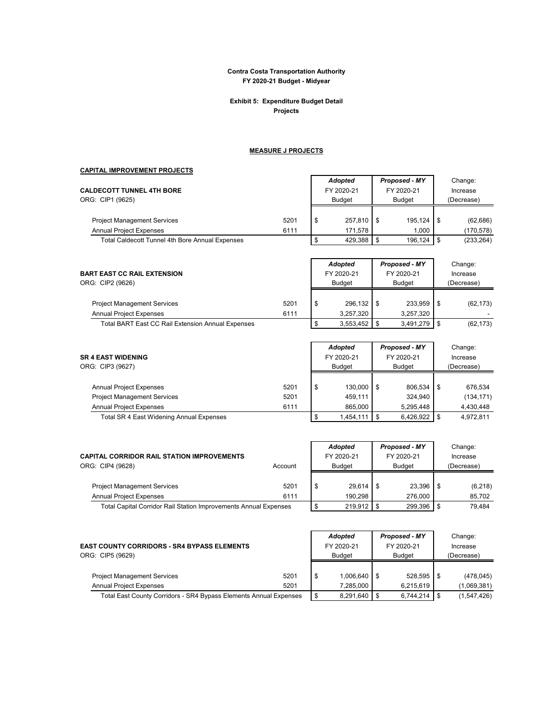#### **Exhibit 5: Expenditure Budget Detail Projects**

## **MEASURE J PROJECTS**

## **CAPITAL IMPROVEMENT PROJECTS**

| <b>CALDECOTT TUNNEL 4TH BORE</b>                                                         |      | <b>Adopted</b><br>FY 2020-21 | Proposed - MY<br>FY 2020-21 | Change:<br>Increase |                         |  |
|------------------------------------------------------------------------------------------|------|------------------------------|-----------------------------|---------------------|-------------------------|--|
| ORG: CIP1 (9625)                                                                         |      | <b>Budget</b>                | <b>Budget</b>               |                     | (Decrease)              |  |
| <b>Project Management Services</b>                                                       | 5201 | \$<br>257.810 \$             | 195.124                     |                     | (62, 686)               |  |
| <b>Annual Project Expenses</b><br><b>Total Caldecott Tunnel 4th Bore Annual Expenses</b> | 6111 | 171.578<br>429.388           | 1.000<br>196.124            |                     | (170,578)<br>(233, 264) |  |

|                                                   |      |   | Adopted       | Proposed - MY  | Change:    |
|---------------------------------------------------|------|---|---------------|----------------|------------|
| <b>BART EAST CC RAIL EXTENSION</b>                |      |   | FY 2020-21    | FY 2020-21     | Increase   |
| ORG: CIP2 (9626)                                  |      |   | <b>Budget</b> | <b>Budget</b>  | (Decrease) |
|                                                   |      |   |               |                |            |
| <b>Project Management Services</b>                | 5201 | S | 296.132 \$    | $233.959$ \$   | (62, 173)  |
| <b>Annual Project Expenses</b>                    | 6111 |   | 3.257.320     | 3.257.320      |            |
| Total BART East CC Rail Extension Annual Expenses |      |   | 3,553,452     | $3,491,279$ \$ | (62, 173)  |

| <b>SR 4 EAST WIDENING</b><br>ORG: CIP3 (9627)                        |              | <b>Adopted</b><br>FY 2020-21<br><b>Budget</b> | Proposed - MY<br>FY 2020-21<br><b>Budget</b> | Change:<br>Increase<br>(Decrease) |
|----------------------------------------------------------------------|--------------|-----------------------------------------------|----------------------------------------------|-----------------------------------|
| <b>Annual Project Expenses</b>                                       | 5201         | \$<br>130.000                                 | 806.534                                      | 676.534                           |
| <b>Project Management Services</b><br><b>Annual Project Expenses</b> | 5201<br>6111 | 459.111<br>865.000                            | 324.940<br>5.295.448                         | (134, 171)<br>4,430,448           |
| Total SR 4 East Widening Annual Expenses                             |              | 1.454.111                                     | 6,426,922                                    | 4.972.811                         |

|                                                                  |         |  | <b>Adopted</b> |  | <b>Proposed - MY</b> |  | Change:    |
|------------------------------------------------------------------|---------|--|----------------|--|----------------------|--|------------|
| <b>CAPITAL CORRIDOR RAIL STATION IMPROVEMENTS</b>                |         |  | FY 2020-21     |  | FY 2020-21           |  | Increase   |
| ORG: CIP4 (9628)                                                 | Account |  | <b>Budget</b>  |  | <b>Budget</b>        |  | (Decrease) |
|                                                                  |         |  |                |  |                      |  |            |
| <b>Project Management Services</b>                               | 5201    |  | 29.614         |  | 23.396               |  | (6,218)    |
| <b>Annual Project Expenses</b>                                   | 6111    |  | 190.298        |  | 276.000              |  | 85,702     |
| Total Capital Corridor Rail Station Improvements Annual Expenses |         |  | 219.912        |  | 299.396              |  | 79.484     |

|                                                                   |      |               | Adopted          |               | Proposed - MY   |            | Change:     |
|-------------------------------------------------------------------|------|---------------|------------------|---------------|-----------------|------------|-------------|
| <b>EAST COUNTY CORRIDORS - SR4 BYPASS ELEMENTS</b>                |      |               | FY 2020-21       |               | FY 2020-21      |            | Increase    |
| ORG: CIP5 (9629)                                                  |      | <b>Budget</b> |                  | <b>Budget</b> |                 | (Decrease) |             |
|                                                                   |      |               |                  |               |                 |            |             |
| <b>Project Management Services</b>                                | 5201 |               | $1.006.640$ \ \$ |               | $528,595$ \$    |            | (478, 045)  |
| <b>Annual Project Expenses</b>                                    | 5201 |               | 7.285.000        |               | 6,215,619       |            | (1,069,381) |
| Total East County Corridors - SR4 Bypass Elements Annual Expenses |      |               | $8,291,640$ \$   |               | $6,744,214$ \\$ |            | (1,547,426) |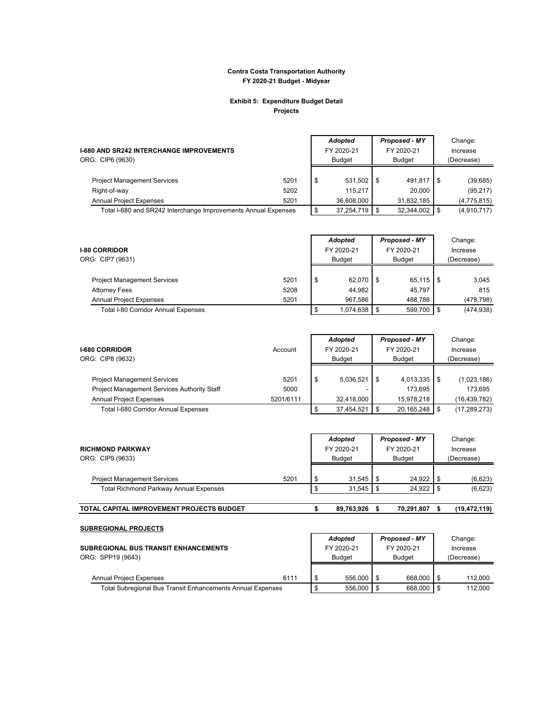#### **Exhibit 5: Expenditure Budget Detail Projects**

| <b>I-680 AND SR242 INTERCHANGE IMPROVEMENTS</b><br>ORG: CIP6 (9630) |              | Adopted<br>FY 2020-21<br>Budget | Proposed - MY<br>FY 2020-21<br><b>Budget</b> |                      | Change:<br>Increase<br>(Decrease) |                          |  |
|---------------------------------------------------------------------|--------------|---------------------------------|----------------------------------------------|----------------------|-----------------------------------|--------------------------|--|
| <b>Project Management Services</b>                                  | 5201         | \$<br>531,502                   |                                              | 491.817 \$           |                                   | (39, 685)                |  |
| Right-of-way<br><b>Annual Project Expenses</b>                      | 5202<br>5201 | 115.217<br>36.608.000           |                                              | 20.000<br>31,832,185 |                                   | (95, 217)<br>(4,775,815) |  |
| Total I-680 and SR242 Interchange Improvements Annual Expenses      |              | 37.254.719                      |                                              | 32,344,002 \$        |                                   | (4,910,717)              |  |

| <b>I-80 CORRIDOR</b><br>ORG: CIP7 (9631) |      | Adopted<br>FY 2020-21<br>Budget |     | Proposed - MY<br>FY 2020-21<br><b>Budget</b> |    | Change:<br>Increase<br>(Decrease) |
|------------------------------------------|------|---------------------------------|-----|----------------------------------------------|----|-----------------------------------|
| <b>Project Management Services</b>       | 5201 | \$<br>62.070                    | 1 S | $65.115$ \$                                  |    | 3.045                             |
| <b>Attorney Fees</b>                     | 5208 | 44.982                          |     | 45.797                                       |    | 815                               |
| <b>Annual Project Expenses</b>           | 5201 | 967.586                         |     | 488.788                                      |    | (478, 798)                        |
| Total I-80 Corridor Annual Expenses      |      | 1,074,638                       |     | 599,700                                      | ΙS | (474, 938)                        |

| <b>I-680 CORRIDOR</b><br>ORG: CIP8 (9632)                                     | Account           |     | Adopted<br>FY 2020-21<br>Budget | Proposed - MY<br>FY 2020-21<br>Budget | Change:<br>Increase<br>(Decrease) |
|-------------------------------------------------------------------------------|-------------------|-----|---------------------------------|---------------------------------------|-----------------------------------|
| <b>Project Management Services</b>                                            | 5201              | -\$ | 5,036,521                       | 4,013,335                             | (1,023,186)                       |
| Project Management Services Authority Staff<br><b>Annual Project Expenses</b> | 5000<br>5201/6111 |     | 32,418,000                      | 173.695<br>15,978,218                 | 173.695<br>(16,439,782)           |
| Total I-680 Corridor Annual Expenses                                          |                   |     | 37.454.521                      | 20,165,248                            | (17, 289, 273)                    |

| <b>RICHMOND PARKWAY</b><br>ORG: CIP9 (9633)<br><b>Project Management Services</b><br><b>Total Richmond Parkway Annual Expenses</b> |      |   | Adopted<br>FY 2020-21<br>Budget |  | Proposed - MY<br>FY 2020-21<br><b>Budget</b> |  | Change:<br>Increase<br>(Decrease) |
|------------------------------------------------------------------------------------------------------------------------------------|------|---|---------------------------------|--|----------------------------------------------|--|-----------------------------------|
|                                                                                                                                    | 5201 | S | 31.545                          |  | 24.922                                       |  | (6,623)                           |
|                                                                                                                                    |      |   | 31,545                          |  | 24,922                                       |  | (6,623)                           |
| TOTAL CAPITAL IMPROVEMENT PROJECTS BUDGET                                                                                          |      |   | 89,763,926                      |  | 70.291.807                                   |  | (19, 472, 119)                    |

| <b>SUBREGIONAL PROJECTS</b>                                       |      |                |               |  |            |         |
|-------------------------------------------------------------------|------|----------------|---------------|--|------------|---------|
|                                                                   |      | <b>Adopted</b> | Proposed - MY |  |            | Change: |
| <b>SUBREGIONAL BUS TRANSIT ENHANCEMENTS</b>                       |      | FY 2020-21     | FY 2020-21    |  | Increase   |         |
| ORG: SPP19 (9643)                                                 |      | <b>Budget</b>  | <b>Budget</b> |  | (Decrease) |         |
|                                                                   |      |                |               |  |            |         |
| <b>Annual Project Expenses</b>                                    | 6111 | 556,000        | 668,000       |  |            | 112.000 |
| <b>Total Subregional Bus Transit Enhancements Annual Expenses</b> |      | 556.000        | 668,000       |  |            | 112.000 |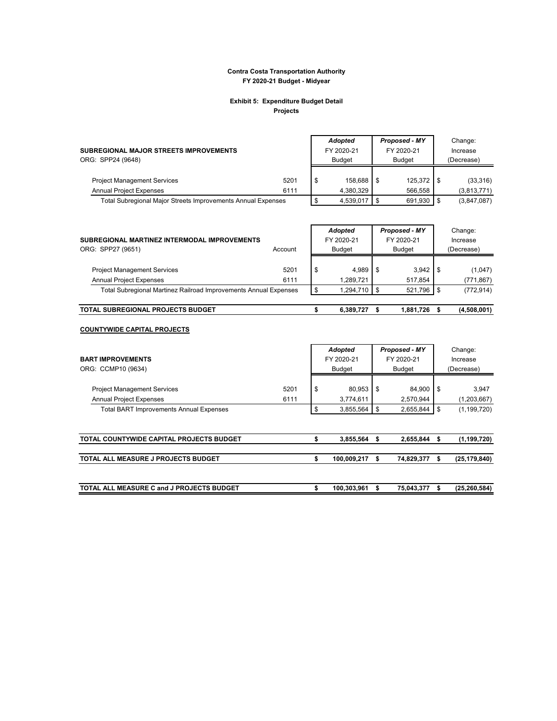#### **Exhibit 5: Expenditure Budget Detail Projects**

| SUBREGIONAL MAJOR STREETS IMPROVEMENTS<br>ORG: SPP24 (9648)          |              | Adopted<br>FY 2020-21<br><b>Budget</b> |  | Proposed - MY<br>FY 2020-21<br><b>Budget</b> | Change:<br>Increase<br>(Decrease) |                         |
|----------------------------------------------------------------------|--------------|----------------------------------------|--|----------------------------------------------|-----------------------------------|-------------------------|
| <b>Project Management Services</b><br><b>Annual Project Expenses</b> | 5201<br>6111 | 158.688<br>4.380.329                   |  | 566.558                                      |                                   | (33,316)<br>(3,813,771) |
| Total Subregional Major Streets Improvements Annual Expenses         |              | 4,539,017                              |  | 691,930 \$                                   |                                   | (3,847,087)             |

| SUBREGIONAL MARTINEZ INTERMODAL IMPROVEMENTS<br>ORG: SPP27 (9651)    | Account      | <b>Adopted</b><br>FY 2020-21<br><b>Budget</b> | Proposed - MY<br>FY 2020-21<br><b>Budget</b> |                  |    | Change:<br>Increase<br>(Decrease) |
|----------------------------------------------------------------------|--------------|-----------------------------------------------|----------------------------------------------|------------------|----|-----------------------------------|
| <b>Project Management Services</b><br><b>Annual Project Expenses</b> | 5201<br>6111 | \$<br>4.989<br>1,289,721                      | IS.                                          | 3.942<br>517.854 | ΙS | (1,047)<br>(771, 867)             |
| Total Subregional Martinez Railroad Improvements Annual Expenses     |              | 1,294,710                                     | l \$                                         | 521,796          | ΙS | (772, 914)                        |
| TOTAL SUBREGIONAL PROJECTS BUDGET                                    |              | 6.389.727                                     |                                              | 1,881,726        |    | (4,508,001)                       |

#### **COUNTYWIDE CAPITAL PROJECTS**

| <b>BART IMPROVEMENTS</b><br>ORG: CCMP10 (9634)                       |              |    | <b>Adopted</b><br>FY 2020-21<br><b>Budget</b> | Proposed - MY<br>FY 2020-21<br><b>Budget</b> |                     |      | Change:<br>Increase<br>(Decrease) |
|----------------------------------------------------------------------|--------------|----|-----------------------------------------------|----------------------------------------------|---------------------|------|-----------------------------------|
| <b>Project Management Services</b><br><b>Annual Project Expenses</b> | 5201<br>6111 | \$ | 80,953<br>3,774,611                           | \$                                           | 84.900<br>2,570,944 | - \$ | 3,947<br>(1,203,667)              |
| <b>Total BART Improvements Annual Expenses</b>                       |              | \$ | 3,855,564                                     | S                                            | 2,655,844           | - \$ | (1, 199, 720)                     |
| TOTAL COUNTYWIDE CAPITAL PROJECTS BUDGET                             |              | S  | 3,855,564                                     | S                                            | 2,655,844           | S    | (1, 199, 720)                     |
| TOTAL ALL MEASURE J PROJECTS BUDGET                                  |              | \$ | 100,009,217                                   | S                                            | 74,829,377          | S    | (25, 179, 840)                    |
| TOTAL ALL MEASURE C and J PROJECTS BUDGET                            |              | \$ | 100,303,961                                   | S                                            | 75,043,377          | S    | (25, 260, 584)                    |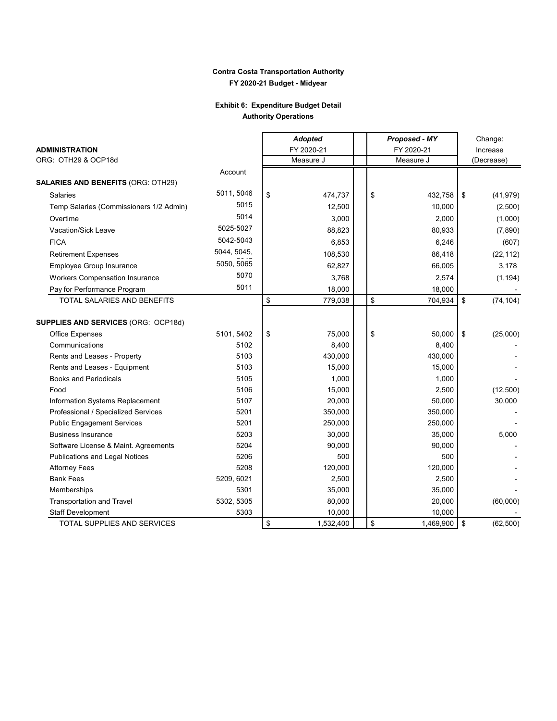## **Exhibit 6: Expenditure Budget Detail Authority Operations**

|                                            |             | <b>Adopted</b>  |    | Proposed - MY | Change: |            |  |
|--------------------------------------------|-------------|-----------------|----|---------------|---------|------------|--|
| <b>ADMINISTRATION</b>                      |             | FY 2020-21      |    | FY 2020-21    |         | Increase   |  |
| ORG: OTH29 & OCP18d                        |             | Measure J       |    | Measure J     |         | (Decrease) |  |
|                                            | Account     |                 |    |               |         |            |  |
| <b>SALARIES AND BENEFITS (ORG: OTH29)</b>  |             |                 |    |               |         |            |  |
| <b>Salaries</b>                            | 5011, 5046  | \$<br>474,737   | \$ | 432,758       | \$      | (41, 979)  |  |
| Temp Salaries (Commissioners 1/2 Admin)    | 5015        | 12,500          |    | 10,000        |         | (2,500)    |  |
| Overtime                                   | 5014        | 3,000           |    | 2,000         |         | (1,000)    |  |
| Vacation/Sick Leave                        | 5025-5027   | 88,823          |    | 80,933        |         | (7,890)    |  |
| <b>FICA</b>                                | 5042-5043   | 6,853           |    | 6,246         |         | (607)      |  |
| <b>Retirement Expenses</b>                 | 5044, 5045, | 108,530         |    | 86,418        |         | (22, 112)  |  |
| <b>Employee Group Insurance</b>            | 5050, 5065  | 62,827          |    | 66,005        |         | 3,178      |  |
| <b>Workers Compensation Insurance</b>      | 5070        | 3,768           |    | 2,574         |         | (1, 194)   |  |
| Pay for Performance Program                | 5011        | 18,000          |    | 18,000        |         |            |  |
| TOTAL SALARIES AND BENEFITS                |             | \$<br>779,038   | \$ | 704,934       | \$      | (74, 104)  |  |
| <b>SUPPLIES AND SERVICES (ORG: OCP18d)</b> |             |                 |    |               |         |            |  |
| Office Expenses                            | 5101, 5402  | \$<br>75,000    | \$ | 50,000        | \$      | (25,000)   |  |
| Communications                             | 5102        | 8,400           |    | 8,400         |         |            |  |
| Rents and Leases - Property                | 5103        | 430,000         |    | 430,000       |         |            |  |
| Rents and Leases - Equipment               | 5103        | 15,000          |    | 15,000        |         |            |  |
| <b>Books and Periodicals</b>               | 5105        | 1,000           |    | 1,000         |         |            |  |
| Food                                       | 5106        | 15,000          |    | 2,500         |         | (12,500)   |  |
| Information Systems Replacement            | 5107        | 20,000          |    | 50,000        |         | 30,000     |  |
| Professional / Specialized Services        | 5201        | 350,000         |    | 350,000       |         |            |  |
| <b>Public Engagement Services</b>          | 5201        | 250,000         |    | 250,000       |         |            |  |
| <b>Business Insurance</b>                  | 5203        | 30,000          |    | 35,000        |         | 5,000      |  |
| Software License & Maint. Agreements       | 5204        | 90,000          |    | 90,000        |         |            |  |
| <b>Publications and Legal Notices</b>      | 5206        | 500             |    | 500           |         |            |  |
| <b>Attorney Fees</b>                       | 5208        | 120,000         |    | 120,000       |         |            |  |
| <b>Bank Fees</b>                           | 5209, 6021  | 2,500           |    | 2,500         |         |            |  |
| Memberships                                | 5301        | 35,000          |    | 35,000        |         |            |  |
| <b>Transportation and Travel</b>           | 5302, 5305  | 80,000          |    | 20,000        |         | (60,000)   |  |
| <b>Staff Development</b>                   | 5303        | 10,000          |    | 10,000        |         |            |  |
| TOTAL SUPPLIES AND SERVICES                |             | \$<br>1,532,400 | \$ | 1,469,900     | \$      | (62, 500)  |  |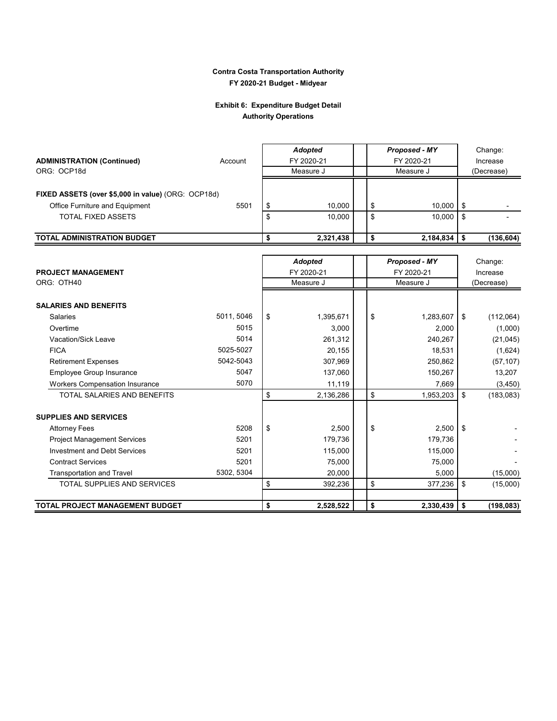## **Exhibit 6: Expenditure Budget Detail Authority Operations**

|                                                    |            | <b>Adopted</b>          | Proposed - MY           |            | Change:    |  |  |
|----------------------------------------------------|------------|-------------------------|-------------------------|------------|------------|--|--|
| <b>ADMINISTRATION (Continued)</b>                  | Account    | FY 2020-21              | FY 2020-21              |            | Increase   |  |  |
| ORG: OCP18d                                        |            | Measure J               | Measure J               |            | (Decrease) |  |  |
|                                                    |            |                         |                         |            |            |  |  |
| FIXED ASSETS (over \$5,000 in value) (ORG: OCP18d) |            |                         |                         |            |            |  |  |
| Office Furniture and Equipment                     | 5501       | \$<br>10,000            | \$<br>10,000            | \$         |            |  |  |
| <b>TOTAL FIXED ASSETS</b>                          |            | \$<br>10,000            | \$<br>10,000            | \$         |            |  |  |
|                                                    |            |                         |                         |            |            |  |  |
| TOTAL ADMINISTRATION BUDGET                        |            | \$<br>2,321,438         | \$<br>2,184,834         | \$         | (136, 604) |  |  |
|                                                    |            |                         |                         |            |            |  |  |
|                                                    |            | <b>Adopted</b>          | Proposed - MY           |            | Change:    |  |  |
| <b>PROJECT MANAGEMENT</b><br>ORG: OTH40            |            | FY 2020-21<br>Measure J | FY 2020-21<br>Measure J |            | Increase   |  |  |
|                                                    |            |                         |                         | (Decrease) |            |  |  |
| <b>SALARIES AND BENEFITS</b>                       |            |                         |                         |            |            |  |  |
| <b>Salaries</b>                                    | 5011, 5046 | \$<br>1,395,671         | \$<br>1,283,607         | \$         | (112,064)  |  |  |
| Overtime                                           | 5015       | 3,000                   | 2,000                   |            | (1,000)    |  |  |
| Vacation/Sick Leave                                | 5014       | 261,312                 | 240,267                 |            | (21, 045)  |  |  |
| <b>FICA</b>                                        | 5025-5027  | 20,155                  | 18,531                  |            | (1,624)    |  |  |
| <b>Retirement Expenses</b>                         | 5042-5043  | 307,969                 | 250,862                 |            | (57, 107)  |  |  |
| Employee Group Insurance                           | 5047       | 137,060                 | 150,267                 |            | 13,207     |  |  |
| <b>Workers Compensation Insurance</b>              | 5070       | 11,119                  | 7,669                   |            | (3, 450)   |  |  |
| <b>TOTAL SALARIES AND BENEFITS</b>                 |            | \$<br>2,136,286         | \$<br>1,953,203         | \$         | (183, 083) |  |  |
|                                                    |            |                         |                         |            |            |  |  |
| <b>SUPPLIES AND SERVICES</b>                       |            |                         |                         |            |            |  |  |
| <b>Attorney Fees</b>                               | 5208       | \$<br>2,500             | \$<br>2,500             | \$         |            |  |  |
| <b>Project Management Services</b>                 | 5201       | 179,736                 | 179,736                 |            |            |  |  |
| <b>Investment and Debt Services</b>                | 5201       | 115,000                 | 115,000                 |            |            |  |  |
| <b>Contract Services</b>                           | 5201       | 75,000                  | 75,000                  |            |            |  |  |
| <b>Transportation and Travel</b>                   | 5302, 5304 | 20,000                  | 5,000                   |            | (15,000)   |  |  |
| <b>TOTAL SUPPLIES AND SERVICES</b>                 |            | \$<br>392,236           | \$<br>377,236           | \$         | (15,000)   |  |  |
| TOTAL PROJECT MANAGEMENT BUDGET                    |            | \$<br>2,528,522         | \$                      | \$         |            |  |  |
|                                                    |            |                         | 2,330,439               |            | (198, 083) |  |  |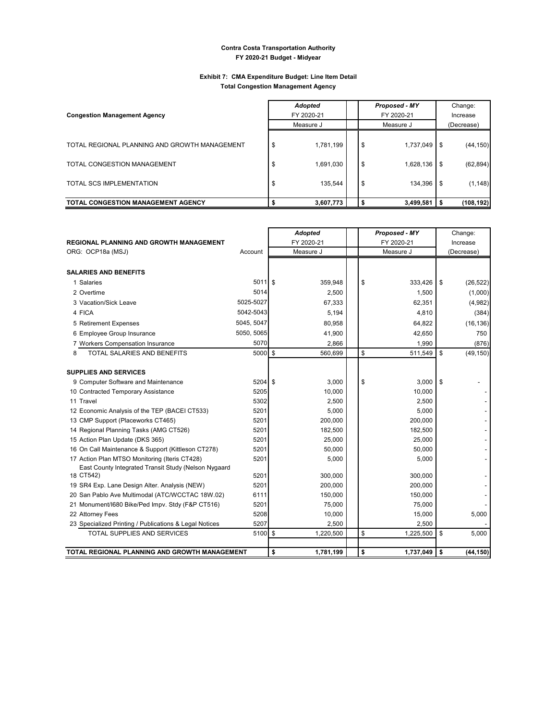#### **Exhibit 7: CMA Expenditure Budget: Line Item Detail Total Congestion Management Agency**

| <b>Congestion Management Agency</b>                                                                      |           | <b>Adopted</b><br>FY 2020-21      |  |                | Proposed - MY<br>FY 2020-21       | Change:<br>Increase |                                    |  |
|----------------------------------------------------------------------------------------------------------|-----------|-----------------------------------|--|----------------|-----------------------------------|---------------------|------------------------------------|--|
|                                                                                                          | Measure J |                                   |  |                | Measure J                         | (Decrease)          |                                    |  |
| TOTAL REGIONAL PLANNING AND GROWTH MANAGEMENT<br>TOTAL CONGESTION MANAGEMENT<br>TOTAL SCS IMPLEMENTATION | S<br>S    | 1,781,199<br>1,691,030<br>135.544 |  | \$<br>\$<br>\$ | 1,737,049<br>1,628,136<br>134,396 | \$<br>\$<br>\$      | (44, 150)<br>(62, 894)<br>(1, 148) |  |
| <b>TOTAL CONGESTION MANAGEMENT AGENCY</b>                                                                |           | 3,607,773                         |  |                | $3,499,581$ \$                    |                     | (108, 192)                         |  |

|                                                        |                   | <b>Adopted</b>  |    | Proposed - MY | Change:         |
|--------------------------------------------------------|-------------------|-----------------|----|---------------|-----------------|
| REGIONAL PLANNING AND GROWTH MANAGEMENT                |                   | FY 2020-21      |    | FY 2020-21    | Increase        |
| ORG: OCP18a (MSJ)                                      | Account           | Measure J       |    | Measure J     | (Decrease)      |
|                                                        |                   |                 |    |               |                 |
| <b>SALARIES AND BENEFITS</b>                           |                   |                 |    |               |                 |
| 1 Salaries                                             | 5011 \$           | 359.948         | \$ | 333.426       | \$<br>(26, 522) |
| 2 Overtime                                             | 5014              | 2.500           |    | 1.500         | (1,000)         |
| 3 Vacation/Sick Leave                                  | 5025-5027         | 67,333          |    | 62,351        | (4,982)         |
| 4 FICA                                                 | 5042-5043         | 5,194           |    | 4,810         | (384)           |
| 5 Retirement Expenses                                  | 5045, 5047        | 80,958          |    | 64,822        | (16, 136)       |
| 6 Employee Group Insurance                             | 5050, 5065        | 41,900          |    | 42,650        | 750             |
| 7 Workers Compensation Insurance                       | 5070              | 2.866           |    | 1,990         | (876)           |
| TOTAL SALARIES AND BENEFITS<br>8                       | $5000$ $\sqrt{5}$ | 560,699         | \$ | 511,549       | \$<br>(49, 150) |
|                                                        |                   |                 |    |               |                 |
| <b>SUPPLIES AND SERVICES</b>                           |                   |                 |    |               |                 |
| 9 Computer Software and Maintenance                    | $5204$ \$         | 3,000           | \$ | 3,000         | \$              |
| 10 Contracted Temporary Assistance                     | 5205              | 10,000          |    | 10,000        |                 |
| 11 Travel                                              | 5302              | 2,500           |    | 2,500         |                 |
| 12 Economic Analysis of the TEP (BACEI CT533)          | 5201              | 5,000           |    | 5,000         |                 |
| 13 CMP Support (Placeworks CT465)                      | 5201              | 200,000         |    | 200,000       |                 |
| 14 Regional Planning Tasks (AMG CT526)                 | 5201              | 182,500         |    | 182,500       |                 |
| 15 Action Plan Update (DKS 365)                        | 5201              | 25,000          |    | 25,000        |                 |
| 16 On Call Maintenance & Support (Kittleson CT278)     | 5201              | 50,000          |    | 50,000        |                 |
| 17 Action Plan MTSO Monitoring (Iteris CT428)          | 5201              | 5,000           |    | 5,000         |                 |
| East County Integrated Transit Study (Nelson Nygaard   |                   |                 |    |               |                 |
| 18 CT542)                                              | 5201              | 300.000         |    | 300,000       |                 |
| 19 SR4 Exp. Lane Design Alter. Analysis (NEW)          | 5201              | 200,000         |    | 200,000       |                 |
| 20 San Pablo Ave Multimodal (ATC/WCCTAC 18W.02)        | 6111              | 150,000         |    | 150,000       |                 |
| 21 Monument/I680 Bike/Ped Impv. Stdy (F&P CT516)       | 5201              | 75,000          |    | 75,000        |                 |
| 22 Attorney Fees                                       | 5208              | 10,000          |    | 15,000        | 5,000           |
| 23 Specialized Printing / Publications & Legal Notices | 5207              | 2,500           |    | 2,500         |                 |
| TOTAL SUPPLIES AND SERVICES                            | 5100 \$           | 1,220,500       | \$ | 1,225,500     | \$<br>5,000     |
|                                                        |                   |                 |    |               |                 |
| TOTAL REGIONAL PLANNING AND GROWTH MANAGEMENT          |                   | \$<br>1,781,199 | \$ | 1,737,049     | \$<br>(44, 150) |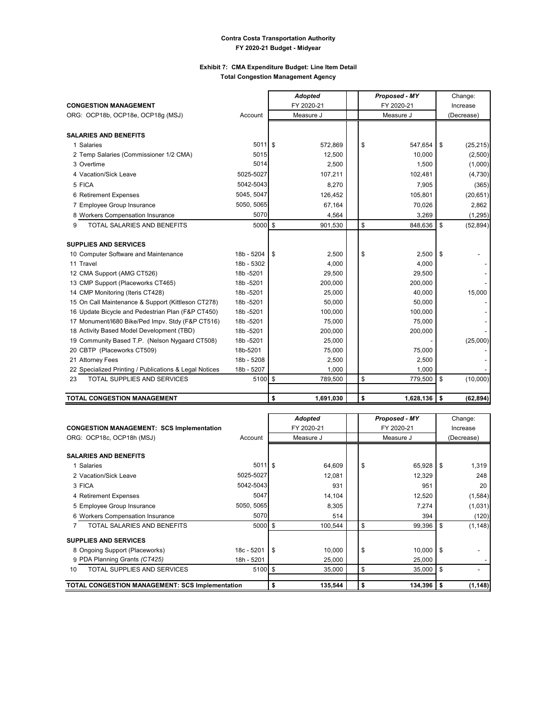#### **Exhibit 7: CMA Expenditure Budget: Line Item Detail Total Congestion Management Agency**

|                                                        |            | <b>Adopted</b>  | Proposed - MY |            |    | Change:    |  |
|--------------------------------------------------------|------------|-----------------|---------------|------------|----|------------|--|
| <b>CONGESTION MANAGEMENT</b>                           |            | FY 2020-21      |               | FY 2020-21 |    | Increase   |  |
| ORG: OCP18b, OCP18e, OCP18q (MSJ)                      | Account    | Measure J       |               | Measure J  |    | (Decrease) |  |
|                                                        |            |                 |               |            |    |            |  |
| <b>SALARIES AND BENEFITS</b>                           |            |                 |               |            |    |            |  |
| 1 Salaries                                             | 5011S      | 572,869         | \$            | 547,654    | \$ | (25, 215)  |  |
| 2 Temp Salaries (Commissioner 1/2 CMA)                 | 5015       | 12,500          |               | 10,000     |    | (2,500)    |  |
| 3 Overtime                                             | 5014       | 2,500           |               | 1,500      |    | (1,000)    |  |
| 4 Vacation/Sick Leave                                  | 5025-5027  | 107,211         |               | 102,481    |    | (4,730)    |  |
| 5 FICA                                                 | 5042-5043  | 8,270           |               | 7,905      |    | (365)      |  |
| 6 Retirement Expenses                                  | 5045, 5047 | 126,452         |               | 105,801    |    | (20, 651)  |  |
| 7 Employee Group Insurance                             | 5050, 5065 | 67,164          |               | 70,026     |    | 2,862      |  |
| 8 Workers Compensation Insurance                       | 5070       | 4,564           |               | 3,269      |    | (1,295)    |  |
| TOTAL SALARIES AND BENEFITS<br>9                       | 5000 \$    | 901,530         | \$            | 848,636    | \$ | (52, 894)  |  |
|                                                        |            |                 |               |            |    |            |  |
| <b>SUPPLIES AND SERVICES</b>                           |            |                 |               |            |    |            |  |
| 10 Computer Software and Maintenance                   | 18b - 5204 | 2,500<br>S      | \$            | 2,500      | \$ |            |  |
| 11 Travel                                              | 18b - 5302 | 4,000           |               | 4,000      |    |            |  |
| 12 CMA Support (AMG CT526)                             | 18b-5201   | 29,500          |               | 29,500     |    |            |  |
| 13 CMP Support (Placeworks CT465)                      | 18b-5201   | 200,000         |               | 200,000    |    |            |  |
| 14 CMP Monitoring (Iteris CT428)                       | 18b-5201   | 25,000          |               | 40,000     |    | 15,000     |  |
| 15 On Call Maintenance & Support (Kittleson CT278)     | 18b-5201   | 50,000          |               | 50,000     |    |            |  |
| 16 Update Bicycle and Pedestrian Plan (F&P CT450)      | 18b-5201   | 100,000         |               | 100,000    |    |            |  |
| 17 Monument/I680 Bike/Ped Impv. Stdy (F&P CT516)       | 18b-5201   | 75,000          |               | 75,000     |    |            |  |
| 18 Activity Based Model Development (TBD)              | 18b-5201   | 200,000         |               | 200,000    |    |            |  |
| 19 Community Based T.P. (Nelson Nygaard CT508)         | 18b-5201   | 25,000          |               |            |    | (25,000)   |  |
| 20 CBTP (Placeworks CT509)                             | 18b-5201   | 75,000          |               | 75,000     |    |            |  |
| 21 Attorney Fees                                       | 18b - 5208 | 2,500           |               | 2,500      |    |            |  |
| 22 Specialized Printing / Publications & Legal Notices | 18b - 5207 | 1,000           |               | 1,000      |    |            |  |
| TOTAL SUPPLIES AND SERVICES<br>23                      | 5100 \$    | 789,500         | \$            | 779,500    | \$ | (10,000)   |  |
|                                                        |            |                 |               |            |    |            |  |
| TOTAL CONGESTION MANAGEMENT                            |            | \$<br>1,691,030 | \$            | 1,628,136  | S. | (62, 894)  |  |

|                                                  |            |    | <b>Adopted</b> | Proposed - MY | Change:        |
|--------------------------------------------------|------------|----|----------------|---------------|----------------|
| <b>CONGESTION MANAGEMENT: SCS Implementation</b> |            |    | FY 2020-21     | FY 2020-21    | Increase       |
| ORG: OCP18c, OCP18h (MSJ)                        | Account    |    | Measure J      | Measure J     | (Decrease)     |
|                                                  |            |    |                |               |                |
| <b>SALARIES AND BENEFITS</b>                     |            |    |                |               |                |
| 1 Salaries                                       | $5011$ \$  |    | 64,609         | \$<br>65,928  | \$<br>1,319    |
| 2 Vacation/Sick Leave                            | 5025-5027  |    | 12,081         | 12,329        | 248            |
| 3 FICA                                           | 5042-5043  |    | 931            | 951           | 20             |
| 4 Retirement Expenses                            | 5047       |    | 14,104         | 12,520        | (1, 584)       |
| 5 Employee Group Insurance                       | 5050, 5065 |    | 8,305          | 7,274         | (1,031)        |
| 6 Workers Compensation Insurance                 | 5070       |    | 514            | 394           | (120)          |
| TOTAL SALARIES AND BENEFITS                      | $5000$ \$  |    | 100,544        | \$<br>99,396  | \$<br>(1, 148) |
| <b>SUPPLIES AND SERVICES</b>                     |            |    |                |               |                |
| 8 Ongoing Support (Placeworks)                   | 18c - 5201 | -S | 10,000         | \$<br>10,000  | \$             |
| 9 PDA Planning Grants (CT425)                    | 18h - 5201 |    | 25,000         | 25,000        |                |
| TOTAL SUPPLIES AND SERVICES<br>10                | $5100$ \$  |    | 35,000         | \$<br>35,000  | \$             |
| TOTAL CONGESTION MANAGEMENT: SCS Implementation  |            | \$ | 135,544        | \$<br>134,396 | \$<br>(1, 148) |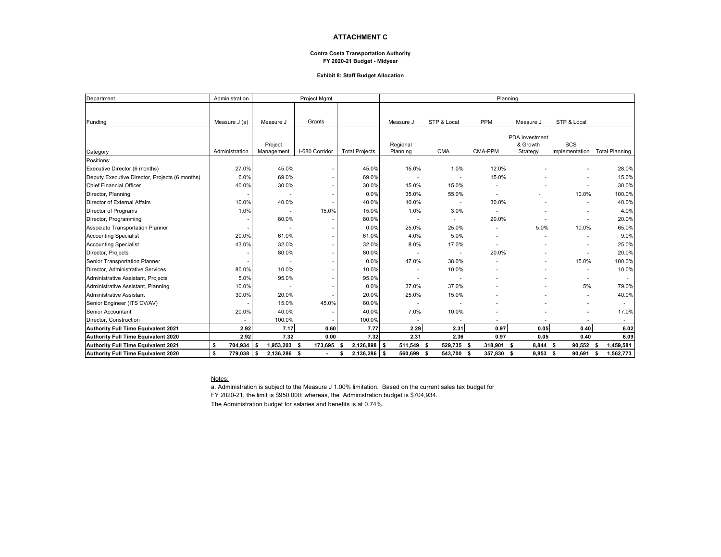#### **ATTACHMENT C**

#### **Contra Costa Transportation Authority FY 2020-21 Budget - Midyear**

#### **Exhibit 8: Staff Budget Allocation**

| Department                                     | Administration |                     | Project Mgmt   |                       |                |                    | Planning       |                            |                |                          |
|------------------------------------------------|----------------|---------------------|----------------|-----------------------|----------------|--------------------|----------------|----------------------------|----------------|--------------------------|
|                                                |                |                     |                |                       |                |                    |                |                            |                |                          |
| Funding                                        | Measure J (a)  | Measure J           | Grants         |                       | Measure J      | STP & Local        | <b>PPM</b>     | Measure J                  | STP & Local    |                          |
|                                                |                |                     |                |                       |                |                    |                |                            |                |                          |
|                                                |                | Project             |                |                       | Regional       |                    |                | PDA Investment<br>& Growth | SCS            |                          |
| Category                                       | Administration | Management          | I-680 Corridor | <b>Total Projects</b> | Planning       | <b>CMA</b>         | CMA-PPM        | Strategy                   | Implementation | <b>Total Planning</b>    |
| Positions:                                     |                |                     |                |                       |                |                    |                |                            |                |                          |
| Executive Director (6 months)                  | 27.0%          | 45.0%               |                | 45.0%                 | 15.0%          | 1.0%               | 12.0%          |                            |                | 28.0%                    |
| Deputy Executive Director, Projects (6 months) | 6.0%           | 69.0%               |                | 69.0%                 |                |                    | 15.0%          |                            |                | 15.0%                    |
| <b>Chief Financial Officer</b>                 | 40.0%          | 30.0%               |                | 30.0%                 | 15.0%          | 15.0%              |                |                            |                | 30.0%                    |
| Director, Planning                             |                |                     |                | 0.0%                  | 35.0%          | 55.0%              | $\overline{a}$ |                            | 10.0%          | 100.0%                   |
| Director of External Affairs                   | 10.0%          | 40.0%               |                | 40.0%                 | 10.0%          |                    | 30.0%          |                            |                | 40.0%                    |
| Director of Programs                           | 1.0%           |                     | 15.0%          | 15.0%                 | 1.0%           | 3.0%               |                |                            |                | 4.0%                     |
| Director, Programming                          |                | 80.0%               |                | 80.0%                 |                | $\sim$             | 20.0%          |                            |                | 20.0%                    |
| Associate Transportation Planner               |                |                     |                | 0.0%                  | 25.0%          | 25.0%              |                | 5.0%                       | 10.0%          | 65.0%                    |
| <b>Accounting Specialist</b>                   | 20.0%          | 61.0%               |                | 61.0%                 | 4.0%           | 5.0%               |                |                            |                | 9.0%                     |
| <b>Accounting Specialist</b>                   | 43.0%          | 32.0%               |                | 32.0%                 | 8.0%           | 17.0%              |                |                            |                | 25.0%                    |
| Director, Projects                             |                | 80.0%               |                | 80.0%                 |                |                    | 20.0%          |                            |                | 20.0%                    |
| Senior Transportation Planner                  |                |                     |                | 0.0%                  | 47.0%          | 38.0%              |                |                            | 15.0%          | 100.0%                   |
| Director, Administrative Services              | 80.0%          | 10.0%               |                | 10.0%                 |                | 10.0%              |                |                            |                | 10.0%                    |
| Administrative Assistant, Projects             | 5.0%           | 95.0%               |                | 95.0%                 |                |                    |                |                            |                | $\overline{\phantom{a}}$ |
| Administrative Assistant, Planning             | 10.0%          |                     |                | 0.0%                  | 37.0%          | 37.0%              |                |                            | 5%             | 79.0%                    |
| Administrative Assistant                       | 30.0%          | 20.0%               |                | 20.0%                 | 25.0%          | 15.0%              |                |                            |                | 40.0%                    |
| Senior Engineer (ITS CV/AV)                    |                | 15.0%               | 45.0%          | 60.0%                 |                |                    |                |                            |                |                          |
| Senior Accountant                              | 20.0%          | 40.0%               |                | 40.0%                 | 7.0%           | 10.0%              |                |                            |                | 17.0%                    |
| Director, Construction                         |                | 100.0%              |                | 100.0%                | $\overline{a}$ |                    |                |                            |                | $\sim$                   |
| Authority Full Time Equivalent 2021            | 2.92           | 7.17                | 0.60           | 7.77                  | 2.29           | 2.31               | 0.97           | 0.05                       | 0.40           | 6.02                     |
| Authority Full Time Equivalent 2020            | 2.92           | 7.32                | 0.00           | 7.32                  | 2.31           | 2.36               | 0.97           | 0.05                       | 0.40           | 6.09                     |
| Authority Full Time Equivalent 2021            | 704,934<br>\$  | 1,953,203<br>l S    | 173,695<br>Ŝ.  | $2,126,898$ \$        | 511,549        | 529,735 \$<br>- \$ | 318,901 \$     | 8,844 \$                   | 90,552         | 1,459,581<br>-S          |
| Authority Full Time Equivalent 2020            | \$<br>779,038  | l s<br>2,136,286 \$ |                | $2,136,286$ \$        | 560,699        | 543,700 \$<br>- \$ | 357,830 \$     | $9,853$ \$                 | 90,691         | 1,562,773<br>s           |

#### Notes:

a. Administration is subject to the Measure J 1.00% limitation. Based on the current sales tax budget for

FY 2020-21, the limit is \$950,000; whereas, the Administration budget is \$704,934.

The Administration budget for salaries and benefits is at 0.74%.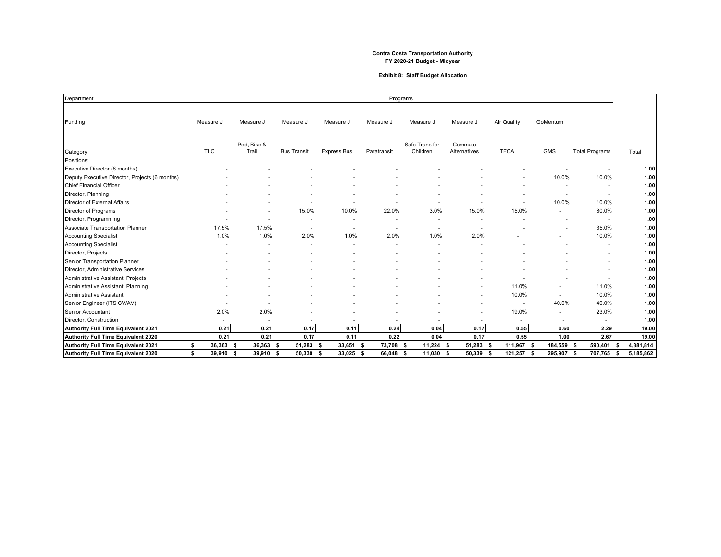#### **Exhibit 8: Staff Budget Allocation**

| Department                                     |                          |                          |                          |                          |                | Programs                   |                          |                          |                          |                       |      |           |
|------------------------------------------------|--------------------------|--------------------------|--------------------------|--------------------------|----------------|----------------------------|--------------------------|--------------------------|--------------------------|-----------------------|------|-----------|
|                                                |                          |                          |                          |                          |                |                            |                          |                          |                          |                       |      |           |
| Funding                                        | Measure J                | Measure J                | Measure J                | Measure J                | Measure J      | Measure J                  | Measure J                | Air Quality              | GoMentum                 |                       |      |           |
|                                                |                          |                          |                          |                          |                |                            |                          |                          |                          |                       |      |           |
|                                                |                          |                          |                          |                          |                |                            |                          |                          |                          |                       |      |           |
| Category                                       | <b>TLC</b>               | Ped, Bike &<br>Trail     | <b>Bus Transit</b>       | <b>Express Bus</b>       | Paratransit    | Safe Trans for<br>Children | Commute<br>Alternatives  | <b>TFCA</b>              | <b>GMS</b>               | <b>Total Programs</b> |      | Total     |
| Positions:                                     |                          |                          |                          |                          |                |                            |                          |                          |                          |                       |      |           |
| Executive Director (6 months)                  |                          |                          |                          |                          |                |                            |                          |                          |                          |                       |      | 1.00      |
| Deputy Executive Director, Projects (6 months) |                          |                          |                          |                          |                |                            |                          |                          | 10.0%                    | 10.0%                 |      | 1.00      |
| <b>Chief Financial Officer</b>                 |                          |                          |                          |                          |                |                            |                          |                          |                          |                       |      | 1.00      |
| Director, Planning                             |                          |                          |                          |                          |                |                            |                          |                          |                          |                       |      | 1.00      |
| Director of External Affairs                   |                          |                          |                          |                          |                |                            |                          |                          | 10.0%                    | 10.0%                 |      | 1.00      |
| Director of Programs                           |                          |                          | 15.0%                    | 10.0%                    | 22.0%          | 3.0%                       | 15.0%                    | 15.0%                    |                          | 80.0%                 |      | 1.00      |
| Director, Programming                          |                          | $\overline{\phantom{a}}$ |                          |                          |                |                            |                          |                          |                          |                       |      | 1.00      |
| Associate Transportation Planner               | 17.5%                    | 17.5%                    | $\overline{a}$           |                          |                | $\overline{\phantom{a}}$   | $\overline{\phantom{a}}$ |                          |                          | 35.0%                 |      | 1.00      |
| <b>Accounting Specialist</b>                   | 1.0%                     | 1.0%                     | 2.0%                     | 1.0%                     | 2.0%           | 1.0%                       | 2.0%                     |                          |                          | 10.0%                 |      | 1.00      |
| <b>Accounting Specialist</b>                   |                          |                          |                          |                          |                |                            |                          |                          |                          |                       |      | 1.00      |
| Director, Projects                             |                          |                          |                          |                          |                |                            |                          |                          |                          |                       |      | 1.00      |
| Senior Transportation Planner                  |                          |                          |                          |                          |                |                            |                          |                          |                          |                       |      | 1.00      |
| Director, Administrative Services              |                          |                          |                          |                          |                |                            |                          |                          |                          |                       |      | 1.00      |
| Administrative Assistant, Projects             |                          |                          |                          |                          |                |                            |                          |                          |                          |                       |      | 1.00      |
| Administrative Assistant, Planning             |                          |                          |                          |                          |                |                            |                          | 11.0%                    |                          | 11.0%                 |      | 1.00      |
| Administrative Assistant                       |                          |                          |                          |                          |                |                            |                          | 10.0%                    |                          | 10.0%                 |      | 1.00      |
| Senior Engineer (ITS CV/AV)                    |                          |                          |                          |                          |                |                            |                          | $\overline{\phantom{a}}$ | 40.0%                    | 40.0%                 |      | 1.00      |
| Senior Accountant                              | 2.0%                     | 2.0%                     |                          |                          |                |                            |                          | 19.0%                    | $\overline{\phantom{a}}$ | 23.0%                 |      | 1.00      |
| Director, Construction                         | $\overline{\phantom{a}}$ | $\overline{\phantom{a}}$ | $\overline{\phantom{a}}$ | $\overline{\phantom{a}}$ |                |                            | $\overline{\phantom{a}}$ | $\overline{\phantom{a}}$ | $\overline{\phantom{a}}$ | $\sim$                |      | 1.00      |
| Authority Full Time Equivalent 2021            | 0.21                     | 0.21                     | 0.17                     | 0.11                     | 0.24           | 0.04                       | 0.17                     | 0.55                     | 0.60                     | 2.29                  |      | 19.00     |
| Authority Full Time Equivalent 2020            | 0.21                     | 0.21                     | 0.17                     | 0.11                     | 0.22           | 0.04                       | 0.17                     | 0.55                     | 1.00                     | 2.67                  |      | 19.00     |
| Authority Full Time Equivalent 2021            | \$<br>36,363             | 36,363                   | 51,283                   | 33,651<br>- \$           | 73,708<br>- \$ | 11,224<br>\$               | 51,283<br>-\$            | 111,967                  | 184,559<br>Ŝ.            | 590,401<br>- \$       |      | 4,881,814 |
| Authority Full Time Equivalent 2020            | \$<br>39,910 \$          | 39,910                   | 50,339<br>- \$           | 33,025 \$<br>- \$        | 66,048         | 11,030<br>-S               | 50,339 \$<br>-\$         | 121,257                  | 295.907 \$<br>- \$       | 707,765               | ∣ \$ | 5,185,862 |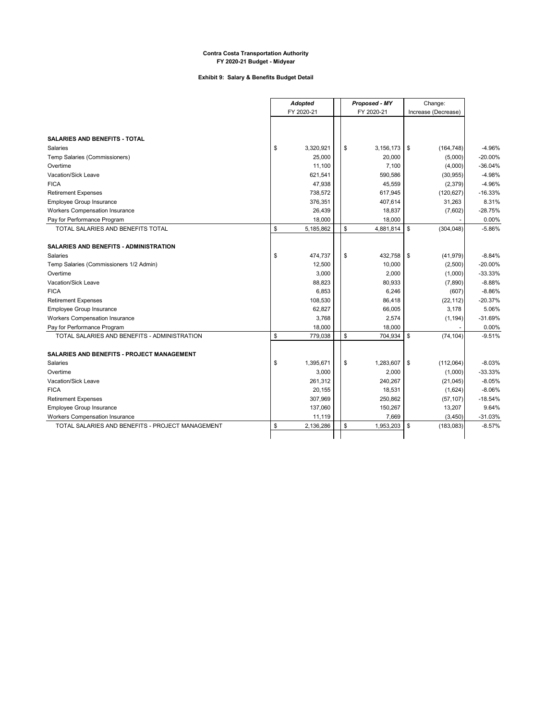#### **Exhibit 9: Salary & Benefits Budget Detail**

 $\overline{a}$ 

|                                                   | <b>Adopted</b>   | Proposed - MY             | Change:               |           |
|---------------------------------------------------|------------------|---------------------------|-----------------------|-----------|
|                                                   | FY 2020-21       | FY 2020-21                | Increase (Decrease)   |           |
|                                                   |                  |                           |                       |           |
| <b>SALARIES AND BENEFITS - TOTAL</b>              |                  |                           |                       |           |
| Salaries                                          | \$<br>3,320,921  | \$<br>3,156,173           | \$<br>(164, 748)      | $-4.96%$  |
| Temp Salaries (Commissioners)                     | 25,000           | 20,000                    | (5,000)               | $-20.00%$ |
| Overtime                                          | 11,100           | 7,100                     | (4,000)               | $-36.04%$ |
| Vacation/Sick Leave                               | 621,541          | 590,586                   |                       | $-4.98%$  |
| <b>FICA</b>                                       | 47,938           | 45,559                    | (30, 955)<br>(2, 379) | -4.96%    |
| <b>Retirement Expenses</b>                        | 738,572          | 617,945                   | (120, 627)            | $-16.33%$ |
| Employee Group Insurance                          | 376,351          | 407,614                   | 31,263                | 8.31%     |
| Workers Compensation Insurance                    |                  |                           |                       | $-28.75%$ |
| Pay for Performance Program                       | 26,439<br>18,000 | 18,837                    | (7,602)               | 0.00%     |
| TOTAL SALARIES AND BENEFITS TOTAL                 | \$<br>5,185,862  | \$<br>18,000<br>4,881,814 | \$<br>(304, 048)      | $-5.86%$  |
|                                                   |                  |                           |                       |           |
| <b>SALARIES AND BENEFITS - ADMINISTRATION</b>     |                  |                           |                       |           |
| <b>Salaries</b>                                   | \$<br>474,737    | \$<br>432,758             | \$<br>(41, 979)       | $-8.84%$  |
| Temp Salaries (Commissioners 1/2 Admin)           | 12,500           | 10,000                    | (2,500)               | $-20.00%$ |
| Overtime                                          | 3,000            | 2,000                     | (1,000)               | $-33.33%$ |
| Vacation/Sick Leave                               | 88,823           | 80,933                    | (7, 890)              | $-8.88%$  |
| <b>FICA</b>                                       | 6,853            | 6,246                     | (607)                 | $-8.86%$  |
| <b>Retirement Expenses</b>                        | 108,530          | 86,418                    | (22, 112)             | $-20.37%$ |
| Employee Group Insurance                          | 62,827           | 66,005                    | 3,178                 | 5.06%     |
| <b>Workers Compensation Insurance</b>             | 3,768            | 2,574                     | (1, 194)              | $-31.69%$ |
| Pay for Performance Program                       | 18,000           | 18,000                    |                       | 0.00%     |
| TOTAL SALARIES AND BENEFITS - ADMINISTRATION      | \$<br>779,038    | \$<br>704,934             | \$<br>(74, 104)       | $-9.51%$  |
|                                                   |                  |                           |                       |           |
| <b>SALARIES AND BENEFITS - PROJECT MANAGEMENT</b> |                  |                           |                       |           |
| Salaries                                          | \$<br>1,395,671  | \$<br>1,283,607           | \$<br>(112,064)       | $-8.03%$  |
| Overtime                                          | 3,000            | 2,000                     | (1,000)               | $-33.33%$ |
| Vacation/Sick Leave                               | 261,312          | 240,267                   | (21, 045)             | $-8.05%$  |
| <b>FICA</b>                                       | 20,155           | 18,531                    | (1,624)               | $-8.06%$  |
| <b>Retirement Expenses</b>                        | 307,969          | 250,862                   | (57, 107)             | $-18.54%$ |
| Employee Group Insurance                          | 137,060          | 150,267                   | 13,207                | 9.64%     |
| Workers Compensation Insurance                    | 11,119           | 7,669                     | (3, 450)              | $-31.03%$ |
| TOTAL SALARIES AND BENEFITS - PROJECT MANAGEMENT  | \$<br>2,136,286  | \$<br>1,953,203           | \$<br>(183,083)       | $-8.57%$  |
|                                                   |                  |                           |                       |           |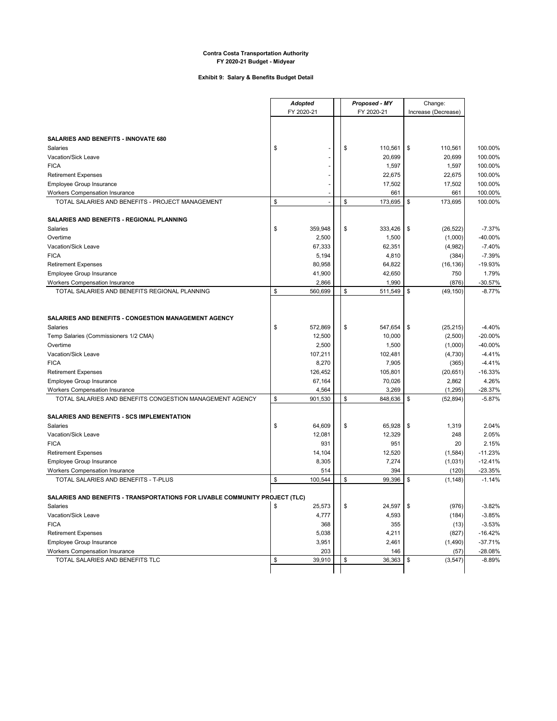#### **Exhibit 9: Salary & Benefits Budget Detail**

|                                                                             | <b>Adopted</b>           |    | Proposed - MY | Change:             |           |
|-----------------------------------------------------------------------------|--------------------------|----|---------------|---------------------|-----------|
|                                                                             | FY 2020-21               |    | FY 2020-21    | Increase (Decrease) |           |
|                                                                             |                          |    |               |                     |           |
|                                                                             |                          |    |               |                     |           |
| SALARIES AND BENEFITS - INNOVATE 680                                        |                          |    |               |                     |           |
| <b>Salaries</b>                                                             | \$                       | \$ | 110,561       | \$<br>110,561       | 100.00%   |
| Vacation/Sick Leave                                                         |                          |    | 20,699        | 20,699              | 100.00%   |
| <b>FICA</b>                                                                 |                          |    | 1,597         | 1,597               | 100.00%   |
| <b>Retirement Expenses</b>                                                  |                          |    | 22,675        | 22,675              | 100.00%   |
| Employee Group Insurance                                                    | $\overline{\phantom{a}}$ |    | 17,502        | 17,502              | 100.00%   |
| Workers Compensation Insurance                                              |                          |    | 661           | 661                 | 100.00%   |
| TOTAL SALARIES AND BENEFITS - PROJECT MANAGEMENT                            | \$<br>$\sim$             | \$ | 173,695       | \$<br>173,695       | 100.00%   |
|                                                                             |                          |    |               |                     |           |
| SALARIES AND BENEFITS - REGIONAL PLANNING                                   |                          |    |               |                     |           |
| Salaries                                                                    | \$<br>359,948            | \$ | 333,426       | \$<br>(26, 522)     | $-7.37%$  |
| Overtime                                                                    | 2,500                    |    | 1,500         | (1,000)             | -40.00%   |
| Vacation/Sick Leave                                                         | 67,333                   |    | 62,351        | (4,982)             | $-7.40%$  |
| <b>FICA</b>                                                                 | 5,194                    |    | 4,810         | (384)               | $-7.39%$  |
| <b>Retirement Expenses</b>                                                  | 80,958                   |    | 64,822        | (16, 136)           | $-19.93%$ |
| Employee Group Insurance                                                    | 41,900                   |    | 42,650        | 750                 | 1.79%     |
| <b>Workers Compensation Insurance</b>                                       | 2,866                    |    | 1,990         | (876)               | $-30.57%$ |
| TOTAL SALARIES AND BENEFITS REGIONAL PLANNING                               | \$<br>560,699            | \$ | 511,549       | \$<br>(49, 150)     | $-8.77%$  |
|                                                                             |                          |    |               |                     |           |
|                                                                             |                          |    |               |                     |           |
| SALARIES AND BENEFITS - CONGESTION MANAGEMENT AGENCY                        |                          |    |               |                     |           |
| Salaries                                                                    | \$<br>572,869            | \$ | 547,654       | \$<br>(25, 215)     | $-4.40%$  |
| Temp Salaries (Commissioners 1/2 CMA)                                       | 12,500                   |    | 10,000        | (2,500)             | $-20.00%$ |
| Overtime                                                                    | 2,500                    |    | 1,500         | (1,000)             | -40.00%   |
| Vacation/Sick Leave                                                         | 107,211                  |    | 102,481       | (4,730)             | $-4.41%$  |
| <b>FICA</b>                                                                 | 8,270                    |    | 7,905         | (365)               | $-4.41%$  |
| <b>Retirement Expenses</b>                                                  | 126,452                  |    | 105,801       | (20, 651)           | $-16.33%$ |
| Employee Group Insurance                                                    | 67,164                   |    | 70,026        | 2,862               | 4.26%     |
| <b>Workers Compensation Insurance</b>                                       | 4,564                    |    | 3,269         | (1, 295)            | $-28.37%$ |
| TOTAL SALARIES AND BENEFITS CONGESTION MANAGEMENT AGENCY                    | \$<br>901,530            | \$ | 848,636       | \$<br>(52, 894)     | $-5.87%$  |
|                                                                             |                          |    |               |                     |           |
| SALARIES AND BENEFITS - SCS IMPLEMENTATION                                  |                          |    |               |                     |           |
| <b>Salaries</b>                                                             | \$<br>64,609             | \$ | 65,928        | \$<br>1,319         | 2.04%     |
| Vacation/Sick Leave                                                         | 12,081                   |    | 12,329        | 248                 | 2.05%     |
| <b>FICA</b>                                                                 | 931                      |    | 951           | 20                  | 2.15%     |
| <b>Retirement Expenses</b>                                                  | 14,104                   |    | 12,520        | (1,584)             | $-11.23%$ |
| Employee Group Insurance                                                    | 8,305                    |    | 7,274         | (1,031)             | $-12.41%$ |
| <b>Workers Compensation Insurance</b>                                       | 514                      |    | 394           | (120)               | $-23.35%$ |
| TOTAL SALARIES AND BENEFITS - T-PLUS                                        | \$<br>100,544            | \$ | 99,396        | \$<br>(1, 148)      | $-1.14%$  |
|                                                                             |                          |    |               |                     |           |
| SALARIES AND BENEFITS - TRANSPORTATIONS FOR LIVABLE COMMUNITY PROJECT (TLC) |                          |    |               |                     |           |
| Salaries                                                                    | \$<br>25,573             | \$ | 24,597        | \$<br>(976)         | $-3.82%$  |
| Vacation/Sick Leave                                                         | 4,777                    |    | 4,593         | (184)               | $-3.85%$  |
| <b>FICA</b>                                                                 | 368                      |    | 355           | (13)                | $-3.53%$  |
| <b>Retirement Expenses</b>                                                  | 5,038                    |    | 4,211         | (827)               | $-16.42%$ |
| Employee Group Insurance                                                    | 3,951                    |    | 2,461         | (1,490)             | $-37.71%$ |
| Workers Compensation Insurance                                              | 203                      |    | 146           | (57)                | -28.08%   |
| TOTAL SALARIES AND BENEFITS TLC                                             | \$<br>39,910             | \$ | 36,363        | \$<br>(3, 547)      | $-8.89%$  |
|                                                                             |                          |    |               |                     |           |
|                                                                             |                          |    |               |                     |           |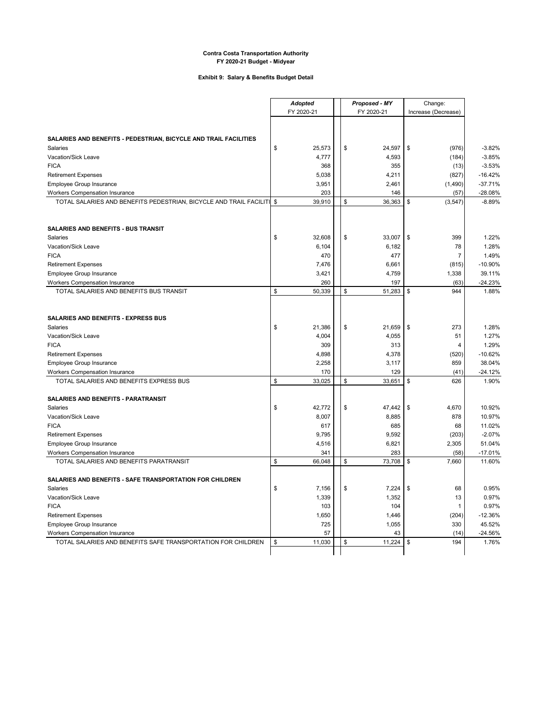#### **Exhibit 9: Salary & Benefits Budget Detail**

|                                                                                  | <b>Adopted</b> |              |  | Proposed - MY |              | Change:             |                     |
|----------------------------------------------------------------------------------|----------------|--------------|--|---------------|--------------|---------------------|---------------------|
|                                                                                  | FY 2020-21     |              |  | FY 2020-21    |              | Increase (Decrease) |                     |
|                                                                                  |                |              |  |               |              |                     |                     |
|                                                                                  |                |              |  |               |              |                     |                     |
| SALARIES AND BENEFITS - PEDESTRIAN, BICYCLE AND TRAIL FACILITIES                 |                |              |  |               |              |                     |                     |
| Salaries                                                                         | \$             | 25,573       |  | \$<br>24,597  | \$           | (976)               | $-3.82%$            |
| Vacation/Sick Leave                                                              |                | 4,777        |  | 4,593         |              | (184)               | $-3.85%$            |
| <b>FICA</b>                                                                      |                | 368          |  | 355           |              | (13)                | $-3.53%$            |
| <b>Retirement Expenses</b>                                                       |                | 5,038        |  | 4,211         |              | (827)               | $-16.42%$           |
| Employee Group Insurance                                                         |                | 3,951        |  | 2,461         |              | (1,490)             | $-37.71%$           |
| Workers Compensation Insurance                                                   |                | 203          |  | 146           |              | (57)                | $-28.08%$           |
| TOTAL SALARIES AND BENEFITS PEDESTRIAN, BICYCLE AND TRAIL FACILITI \$            |                | 39,910       |  | \$<br>36,363  | \$           | (3, 547)            | $-8.89%$            |
|                                                                                  |                |              |  |               |              |                     |                     |
|                                                                                  |                |              |  |               |              |                     |                     |
| SALARIES AND BENEFITS - BUS TRANSIT                                              |                |              |  |               |              |                     |                     |
| Salaries                                                                         | \$             | 32,608       |  | \$<br>33,007  | \$           | 399                 | 1.22%               |
| Vacation/Sick Leave                                                              |                | 6,104        |  | 6,182         |              | 78                  | 1.28%               |
| <b>FICA</b>                                                                      |                | 470          |  | 477           |              | 7                   | 1.49%               |
| <b>Retirement Expenses</b>                                                       |                | 7,476        |  | 6,661         |              | (815)               | $-10.90%$           |
| Employee Group Insurance                                                         |                | 3,421        |  | 4,759         |              | 1,338               | 39.11%              |
| <b>Workers Compensation Insurance</b>                                            |                | 260          |  | 197           |              | (63)                | $-24.23%$           |
| TOTAL SALARIES AND BENEFITS BUS TRANSIT                                          | \$             | 50,339       |  | \$<br>51,283  | \$           | 944                 | 1.88%               |
|                                                                                  |                |              |  |               |              |                     |                     |
|                                                                                  |                |              |  |               |              |                     |                     |
| SALARIES AND BENEFITS - EXPRESS BUS                                              |                |              |  |               |              |                     |                     |
| <b>Salaries</b>                                                                  | \$             | 21,386       |  | \$<br>21,659  | \$           | 273                 | 1.28%               |
| Vacation/Sick Leave                                                              |                | 4,004        |  | 4,055         |              | 51                  | 1.27%               |
| <b>FICA</b>                                                                      |                | 309          |  | 313           |              | 4                   | 1.29%               |
| <b>Retirement Expenses</b>                                                       |                | 4,898        |  | 4,378         |              |                     | $-10.62%$           |
|                                                                                  |                | 2,258        |  | 3,117         |              | (520)<br>859        | 38.04%              |
| Employee Group Insurance<br><b>Workers Compensation Insurance</b>                |                | 170          |  | 129           |              | (41)                | $-24.12%$           |
| TOTAL SALARIES AND BENEFITS EXPRESS BUS                                          | \$             | 33,025       |  | \$<br>33,651  | \$           | 626                 | 1.90%               |
|                                                                                  |                |              |  |               |              |                     |                     |
| SALARIES AND BENEFITS - PARATRANSIT                                              |                |              |  |               |              |                     |                     |
| <b>Salaries</b>                                                                  | \$             | 42.772       |  |               |              |                     | 10.92%              |
|                                                                                  |                |              |  | \$<br>47,442  | \$           | 4,670               | 10.97%              |
| Vacation/Sick Leave<br><b>FICA</b>                                               |                | 8,007<br>617 |  | 8,885<br>685  |              | 878<br>68           | 11.02%              |
|                                                                                  |                |              |  |               |              |                     | $-2.07%$            |
| <b>Retirement Expenses</b>                                                       |                | 9,795        |  | 9,592         |              | (203)               | 51.04%              |
| Employee Group Insurance                                                         |                | 4,516        |  | 6,821         |              | 2,305               |                     |
| <b>Workers Compensation Insurance</b><br>TOTAL SALARIES AND BENEFITS PARATRANSIT | \$             | 341          |  | 283<br>\$     |              | (58)                | $-17.01%$<br>11.60% |
|                                                                                  |                | 66,048       |  | 73,708        | \$           | 7,660               |                     |
|                                                                                  |                |              |  |               |              |                     |                     |
| SALARIES AND BENEFITS - SAFE TRANSPORTATION FOR CHILDREN                         |                |              |  |               |              |                     |                     |
| Salaries                                                                         | \$             | 7,156        |  | \$<br>7,224   | \$           | 68                  | 0.95%               |
| Vacation/Sick Leave                                                              |                | 1,339        |  | 1,352         |              | 13                  | 0.97%               |
| <b>FICA</b>                                                                      |                | 103          |  | 104           |              | 1                   | 0.97%               |
| <b>Retirement Expenses</b>                                                       |                | 1,650        |  | 1,446         |              | (204)               | $-12.36%$           |
| Employee Group Insurance                                                         |                | 725          |  | 1,055         |              | 330                 | 45.52%              |
| Workers Compensation Insurance                                                   |                | 57           |  | 43            |              | (14)                | -24.56%             |
| TOTAL SALARIES AND BENEFITS SAFE TRANSPORTATION FOR CHILDREN                     | \$             | 11,030       |  | \$<br>11,224  | $\mathbb{S}$ | 194                 | 1.76%               |
|                                                                                  |                |              |  |               |              |                     |                     |